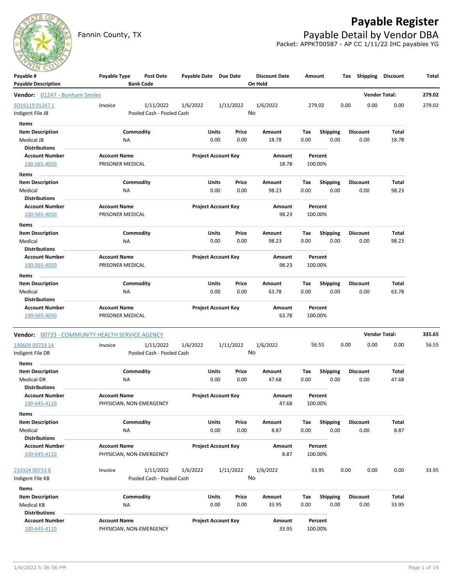

# **Payable Register**

Fannin County, TX **Payable Detail by Vendor DBA** Packet: APPKT00587 - AP CC 1/11/22 IHC payables YG

| Payable #<br><b>Payable Description</b>         | Payable Type        | <b>Post Date</b><br><b>Bank Code</b> | Payable Date Due Date |                            | <b>Discount Date</b><br>On Hold |      | Amount          | Tax  | Shipping        | <b>Discount</b>      | Total  |
|-------------------------------------------------|---------------------|--------------------------------------|-----------------------|----------------------------|---------------------------------|------|-----------------|------|-----------------|----------------------|--------|
| Vendor: 01247 - Bonham Smiles                   |                     |                                      |                       |                            |                                 |      |                 |      |                 | <b>Vendor Total:</b> | 279.02 |
| SO16119 01247 1                                 | Invoice             | 1/11/2022                            | 1/6/2022              | 1/11/2022                  | 1/6/2022                        |      | 279.02          | 0.00 | 0.00            | 0.00                 | 279.02 |
| Indigent File JB                                |                     | Pooled Cash - Pooled Cash            |                       |                            | No                              |      |                 |      |                 |                      |        |
| Items                                           |                     |                                      |                       |                            |                                 |      |                 |      |                 |                      |        |
| <b>Item Description</b>                         |                     | Commodity                            | Units                 | Price                      | Amount                          | Tax  | <b>Shipping</b> |      | <b>Discount</b> | Total                |        |
| Medical JB                                      | ΝA                  |                                      |                       | 0.00<br>0.00               | 18.78                           | 0.00 | 0.00            |      | 0.00            | 18.78                |        |
| <b>Distributions</b>                            |                     |                                      |                       |                            |                                 |      |                 |      |                 |                      |        |
| <b>Account Number</b>                           | <b>Account Name</b> |                                      |                       | <b>Project Account Key</b> | <b>Amount</b>                   |      | Percent         |      |                 |                      |        |
| 100-565-4050                                    | PRISONER MEDICAL    |                                      |                       |                            | 18.78                           |      | 100.00%         |      |                 |                      |        |
| Items                                           |                     |                                      |                       |                            |                                 |      |                 |      |                 |                      |        |
| <b>Item Description</b>                         |                     | Commodity                            | Units                 | Price                      | Amount                          | Tax  | <b>Shipping</b> |      | <b>Discount</b> | Total                |        |
| Medical                                         | NA                  |                                      |                       | 0.00<br>0.00               | 98.23                           | 0.00 | 0.00            |      | 0.00            | 98.23                |        |
| <b>Distributions</b>                            |                     |                                      |                       |                            |                                 |      |                 |      |                 |                      |        |
| <b>Account Number</b>                           | <b>Account Name</b> |                                      |                       | <b>Project Account Key</b> | Amount                          |      | Percent         |      |                 |                      |        |
| 100-565-4050                                    | PRISONER MEDICAL    |                                      |                       |                            | 98.23                           |      | 100.00%         |      |                 |                      |        |
| Items                                           |                     |                                      |                       |                            |                                 |      |                 |      |                 |                      |        |
| <b>Item Description</b>                         |                     | Commodity                            | Units                 | Price                      | Amount                          | Tax  | <b>Shipping</b> |      | <b>Discount</b> | Total                |        |
| Medical                                         | ΝA                  |                                      |                       | 0.00<br>0.00               | 98.23                           | 0.00 | 0.00            |      | 0.00            | 98.23                |        |
| <b>Distributions</b>                            |                     |                                      |                       |                            |                                 |      |                 |      |                 |                      |        |
| <b>Account Number</b>                           | <b>Account Name</b> |                                      |                       | <b>Project Account Key</b> | Amount                          |      | Percent         |      |                 |                      |        |
| 100-565-4050                                    | PRISONER MEDICAL    |                                      |                       |                            | 98.23                           |      | 100.00%         |      |                 |                      |        |
| Items                                           |                     |                                      |                       |                            |                                 |      |                 |      |                 |                      |        |
| <b>Item Description</b>                         |                     | Commodity                            | Units                 | Price                      | Amount                          | Тах  | <b>Shipping</b> |      | <b>Discount</b> | Total                |        |
| Medical                                         | ΝA                  |                                      |                       | 0.00<br>0.00               | 63.78                           | 0.00 | 0.00            |      | 0.00            | 63.78                |        |
| <b>Distributions</b>                            |                     |                                      |                       |                            |                                 |      |                 |      |                 |                      |        |
| <b>Account Number</b>                           | <b>Account Name</b> |                                      |                       | <b>Project Account Key</b> | Amount                          |      | Percent         |      |                 |                      |        |
| 100-565-4050                                    | PRISONER MEDICAL    |                                      |                       |                            | 63.78                           |      | 100.00%         |      |                 |                      |        |
| Vendor: 00733 - COMMUNITY HEALTH SERVICE AGENCY |                     |                                      |                       |                            |                                 |      |                 |      |                 | <b>Vendor Total:</b> | 335.65 |
| 190609 00733 14                                 | Invoice             | 1/11/2022                            | 1/6/2022              | 1/11/2022                  | 1/6/2022                        |      | 56.55           | 0.00 | 0.00            | 0.00                 | 56.55  |
| Indigent File DR                                |                     | Pooled Cash - Pooled Cash            |                       |                            | No                              |      |                 |      |                 |                      |        |
| Items                                           |                     |                                      |                       |                            |                                 |      |                 |      |                 |                      |        |
| <b>Item Description</b>                         |                     | Commodity                            | Units                 | Price                      | Amount                          | Tax  | <b>Shipping</b> |      | <b>Discount</b> | Total                |        |
| Medical-DR                                      | <b>NA</b>           |                                      |                       | 0.00<br>0.00               | 47.68                           | 0.00 | 0.00            |      | 0.00            | 47.68                |        |
| <b>Distributions</b>                            |                     |                                      |                       |                            |                                 |      |                 |      |                 |                      |        |
| <b>Account Number</b>                           | <b>Account Name</b> |                                      |                       | <b>Project Account Key</b> | Amount                          |      | Percent         |      |                 |                      |        |
| 100-645-4110                                    |                     | PHYSICIAN, NON-EMERGENCY             |                       |                            | 47.68                           |      | 100.00%         |      |                 |                      |        |
| Items                                           |                     |                                      |                       |                            |                                 |      |                 |      |                 |                      |        |
| <b>Item Description</b>                         |                     | Commodity                            | Units                 | Price                      | Amount                          | Tax  | <b>Shipping</b> |      | <b>Discount</b> | Total                |        |
| Medical                                         | NA                  |                                      |                       | 0.00<br>0.00               | 8.87                            | 0.00 | 0.00            |      | 0.00            | 8.87                 |        |
| <b>Distributions</b>                            |                     |                                      |                       |                            |                                 |      |                 |      |                 |                      |        |
| <b>Account Number</b>                           | <b>Account Name</b> |                                      |                       | <b>Project Account Key</b> | Amount                          |      | Percent         |      |                 |                      |        |
| 100-645-4110                                    |                     | PHYSICIAN, NON-EMERGENCY             |                       |                            | 8.87                            |      | 100.00%         |      |                 |                      |        |
|                                                 |                     |                                      |                       |                            |                                 |      |                 |      |                 |                      |        |
| 210324 00733 8                                  | Invoice             | 1/11/2022                            | 1/6/2022              | 1/11/2022                  | 1/6/2022                        |      | 33.95           | 0.00 | 0.00            | 0.00                 | 33.95  |
| Indigent File KB                                |                     | Pooled Cash - Pooled Cash            |                       |                            | No                              |      |                 |      |                 |                      |        |
| Items                                           |                     |                                      |                       |                            |                                 |      |                 |      |                 |                      |        |
| <b>Item Description</b>                         |                     | Commodity                            | Units                 | Price                      | Amount                          | Tax  | Shipping        |      | <b>Discount</b> | Total                |        |
| Medical KB                                      | <b>NA</b>           |                                      |                       | 0.00<br>0.00               | 33.95                           | 0.00 | 0.00            |      | 0.00            | 33.95                |        |
| <b>Distributions</b>                            |                     |                                      |                       |                            |                                 |      |                 |      |                 |                      |        |
| <b>Account Number</b>                           | <b>Account Name</b> |                                      |                       | <b>Project Account Key</b> | Amount                          |      | Percent         |      |                 |                      |        |
| 100-645-4110                                    |                     | PHYSICIAN, NON-EMERGENCY             |                       |                            | 33.95                           |      | 100.00%         |      |                 |                      |        |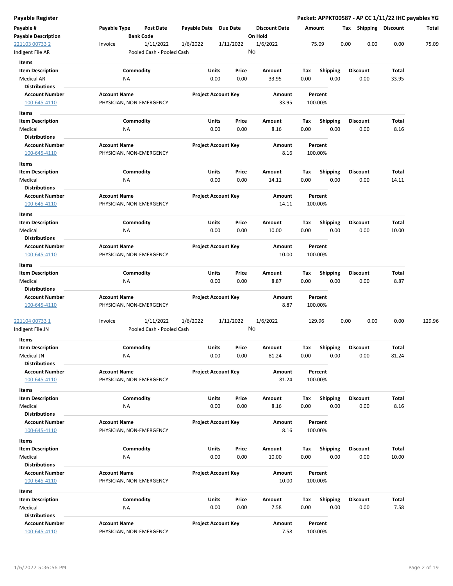| Payable Register                              |                                                 |                                    |                                |                      |             |                         |      |                         | Packet: APPKT00587 - AP CC 1/11/22 IHC payables YG |        |
|-----------------------------------------------|-------------------------------------------------|------------------------------------|--------------------------------|----------------------|-------------|-------------------------|------|-------------------------|----------------------------------------------------|--------|
| Payable #                                     | Payable Type                                    | Payable Date Due Date<br>Post Date |                                | <b>Discount Date</b> | Amount      |                         |      | Tax Shipping Discount   |                                                    | Total  |
| <b>Payable Description</b>                    | <b>Bank Code</b>                                |                                    |                                | On Hold              |             |                         |      |                         |                                                    |        |
| 221103 00733 2                                | Invoice                                         | 1/11/2022<br>1/6/2022              | 1/11/2022                      | 1/6/2022             |             | 75.09                   | 0.00 | 0.00                    | 0.00                                               | 75.09  |
| Indigent File AR                              |                                                 | Pooled Cash - Pooled Cash          |                                | No                   |             |                         |      |                         |                                                    |        |
| <b>Items</b>                                  |                                                 |                                    |                                |                      |             |                         |      |                         |                                                    |        |
| <b>Item Description</b>                       | Commodity                                       | Units                              | Price                          | Amount               | Tax         | <b>Shipping</b>         |      | <b>Discount</b>         | Total                                              |        |
| <b>Medical AR</b>                             | ΝA                                              |                                    | 0.00<br>0.00                   | 33.95                | 0.00        | 0.00                    |      | 0.00                    | 33.95                                              |        |
| <b>Distributions</b><br><b>Account Number</b> | <b>Account Name</b>                             |                                    | <b>Project Account Key</b>     | Amount               |             | Percent                 |      |                         |                                                    |        |
| 100-645-4110                                  | PHYSICIAN, NON-EMERGENCY                        |                                    |                                | 33.95                |             | 100.00%                 |      |                         |                                                    |        |
|                                               |                                                 |                                    |                                |                      |             |                         |      |                         |                                                    |        |
| Items<br><b>Item Description</b>              | Commodity                                       |                                    | Units<br>Price                 | Amount               | Tax         | <b>Shipping</b>         |      | <b>Discount</b>         | Total                                              |        |
| Medical                                       | ΝA                                              |                                    | 0.00<br>0.00                   | 8.16                 | 0.00        | 0.00                    |      | 0.00                    | 8.16                                               |        |
| <b>Distributions</b>                          |                                                 |                                    |                                |                      |             |                         |      |                         |                                                    |        |
| <b>Account Number</b>                         | <b>Account Name</b>                             |                                    | <b>Project Account Key</b>     | Amount               |             | Percent                 |      |                         |                                                    |        |
| 100-645-4110                                  | PHYSICIAN, NON-EMERGENCY                        |                                    |                                | 8.16                 |             | 100.00%                 |      |                         |                                                    |        |
| Items                                         |                                                 |                                    |                                |                      |             |                         |      |                         |                                                    |        |
| <b>Item Description</b>                       | Commodity                                       |                                    | Units<br>Price                 | Amount               | Tax         | <b>Shipping</b>         |      | <b>Discount</b>         | Total                                              |        |
| Medical                                       | NA                                              |                                    | 0.00<br>0.00                   | 14.11                | 0.00        | 0.00                    |      | 0.00                    | 14.11                                              |        |
| <b>Distributions</b>                          |                                                 |                                    |                                |                      |             |                         |      |                         |                                                    |        |
| <b>Account Number</b>                         | <b>Account Name</b>                             |                                    | <b>Project Account Key</b>     | Amount               |             | Percent                 |      |                         |                                                    |        |
| 100-645-4110                                  | PHYSICIAN, NON-EMERGENCY                        |                                    |                                | 14.11                |             | 100.00%                 |      |                         |                                                    |        |
| Items                                         |                                                 |                                    |                                |                      |             |                         |      |                         |                                                    |        |
| <b>Item Description</b>                       | Commodity                                       | Units                              | Price                          | Amount               | Tax         | <b>Shipping</b>         |      | <b>Discount</b>         | Total                                              |        |
| Medical                                       | <b>NA</b>                                       |                                    | 0.00<br>0.00                   | 10.00                | 0.00        | 0.00                    |      | 0.00                    | 10.00                                              |        |
| <b>Distributions</b>                          |                                                 |                                    |                                |                      |             |                         |      |                         |                                                    |        |
| <b>Account Number</b>                         | <b>Account Name</b>                             |                                    | <b>Project Account Key</b>     | Amount               |             | Percent                 |      |                         |                                                    |        |
| 100-645-4110                                  | PHYSICIAN, NON-EMERGENCY                        |                                    |                                | 10.00                |             | 100.00%                 |      |                         |                                                    |        |
| Items                                         |                                                 |                                    |                                |                      |             |                         |      |                         |                                                    |        |
| <b>Item Description</b>                       | Commodity                                       | Units                              | Price                          | Amount               | Тах         | <b>Shipping</b>         |      | <b>Discount</b>         | Total                                              |        |
| Medical<br><b>Distributions</b>               | NA                                              |                                    | 0.00<br>0.00                   | 8.87                 | 0.00        | 0.00                    |      | 0.00                    | 8.87                                               |        |
| <b>Account Number</b>                         | <b>Account Name</b>                             |                                    | <b>Project Account Key</b>     | Amount               |             | Percent                 |      |                         |                                                    |        |
| 100-645-4110                                  | PHYSICIAN, NON-EMERGENCY                        |                                    |                                | 8.87                 |             | 100.00%                 |      |                         |                                                    |        |
|                                               |                                                 |                                    |                                |                      |             |                         |      |                         |                                                    |        |
| 221104 00733 1                                | Invoice                                         | 1/11/2022<br>1/6/2022              | 1/11/2022                      | 1/6/2022             |             | 129.96                  | 0.00 | 0.00                    | 0.00                                               | 129.96 |
| Indigent File JN                              |                                                 | Pooled Cash - Pooled Cash          |                                | No                   |             |                         |      |                         |                                                    |        |
| Items                                         |                                                 |                                    |                                |                      |             |                         |      |                         |                                                    |        |
| <b>Item Description</b>                       | Commodity                                       |                                    | Units<br>Price                 | Amount               | Tax         | Shipping                |      | <b>Discount</b>         | Total                                              |        |
| Medical JN                                    | ΝA                                              |                                    | 0.00<br>0.00                   | 81.24                | 0.00        | 0.00                    |      | 0.00                    | 81.24                                              |        |
| <b>Distributions</b>                          |                                                 |                                    |                                |                      |             |                         |      |                         |                                                    |        |
| <b>Account Number</b><br>100-645-4110         | <b>Account Name</b><br>PHYSICIAN, NON-EMERGENCY |                                    | <b>Project Account Key</b>     | Amount<br>81.24      |             | Percent                 |      |                         |                                                    |        |
|                                               |                                                 |                                    |                                |                      |             | 100.00%                 |      |                         |                                                    |        |
| Items                                         |                                                 |                                    |                                |                      |             |                         |      |                         |                                                    |        |
| <b>Item Description</b><br>Medical            | Commodity<br>NA                                 |                                    | Units<br>Price<br>0.00<br>0.00 | Amount<br>8.16       | Tax<br>0.00 | <b>Shipping</b><br>0.00 |      | <b>Discount</b><br>0.00 | Total<br>8.16                                      |        |
| <b>Distributions</b>                          |                                                 |                                    |                                |                      |             |                         |      |                         |                                                    |        |
| <b>Account Number</b>                         | <b>Account Name</b>                             |                                    | <b>Project Account Key</b>     | Amount               |             | Percent                 |      |                         |                                                    |        |
| 100-645-4110                                  | PHYSICIAN, NON-EMERGENCY                        |                                    |                                | 8.16                 |             | 100.00%                 |      |                         |                                                    |        |
| Items                                         |                                                 |                                    |                                |                      |             |                         |      |                         |                                                    |        |
| <b>Item Description</b>                       | Commodity                                       |                                    | Units<br>Price                 | Amount               | Tax         | <b>Shipping</b>         |      | <b>Discount</b>         | Total                                              |        |
| Medical                                       | <b>NA</b>                                       |                                    | 0.00<br>0.00                   | 10.00                | 0.00        | 0.00                    |      | 0.00                    | 10.00                                              |        |
| <b>Distributions</b>                          |                                                 |                                    |                                |                      |             |                         |      |                         |                                                    |        |
| <b>Account Number</b>                         | <b>Account Name</b>                             |                                    | <b>Project Account Key</b>     | Amount               |             | Percent                 |      |                         |                                                    |        |
| 100-645-4110                                  | PHYSICIAN, NON-EMERGENCY                        |                                    |                                | 10.00                |             | 100.00%                 |      |                         |                                                    |        |
| Items                                         |                                                 |                                    |                                |                      |             |                         |      |                         |                                                    |        |
| <b>Item Description</b>                       | Commodity                                       |                                    | Units<br>Price                 | Amount               | Тах         | Shipping                |      | <b>Discount</b>         | Total                                              |        |
| Medical                                       | NA                                              |                                    | 0.00<br>0.00                   | 7.58                 | 0.00        | 0.00                    |      | 0.00                    | 7.58                                               |        |
| <b>Distributions</b>                          |                                                 |                                    |                                |                      |             |                         |      |                         |                                                    |        |
| <b>Account Number</b>                         | <b>Account Name</b>                             |                                    | <b>Project Account Key</b>     | Amount               |             | Percent                 |      |                         |                                                    |        |
| 100-645-4110                                  | PHYSICIAN, NON-EMERGENCY                        |                                    |                                | 7.58                 |             | 100.00%                 |      |                         |                                                    |        |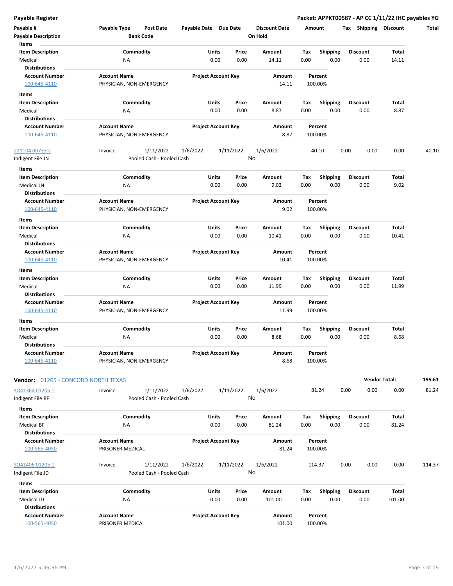| Payable #                                     | Payable Type<br><b>Post Date</b>                | Payable Date Due Date      |           | <b>Discount Date</b> | Amount      |                         | Tax Shipping            | <b>Discount</b>      | Total  |
|-----------------------------------------------|-------------------------------------------------|----------------------------|-----------|----------------------|-------------|-------------------------|-------------------------|----------------------|--------|
| <b>Payable Description</b>                    | <b>Bank Code</b>                                |                            |           | On Hold              |             |                         |                         |                      |        |
| Items                                         | Commodity                                       | Units                      | Price     |                      |             |                         |                         | Total                |        |
| <b>Item Description</b><br>Medical            | ΝA                                              | 0.00                       | 0.00      | Amount<br>14.11      | Tax<br>0.00 | <b>Shipping</b><br>0.00 | <b>Discount</b><br>0.00 | 14.11                |        |
| <b>Distributions</b>                          |                                                 |                            |           |                      |             |                         |                         |                      |        |
| <b>Account Number</b>                         | <b>Account Name</b>                             | <b>Project Account Key</b> |           | Amount               |             | Percent                 |                         |                      |        |
| 100-645-4110                                  | PHYSICIAN, NON-EMERGENCY                        |                            |           | 14.11                |             | 100.00%                 |                         |                      |        |
| Items                                         |                                                 |                            |           |                      |             |                         |                         |                      |        |
| <b>Item Description</b>                       | Commodity                                       | Units                      | Price     | Amount               | Tax         | <b>Shipping</b>         | <b>Discount</b>         | Total                |        |
| Medical                                       | NA                                              | 0.00                       | 0.00      | 8.87                 | 0.00        | 0.00                    | 0.00                    | 8.87                 |        |
| <b>Distributions</b>                          |                                                 |                            |           |                      |             |                         |                         |                      |        |
| <b>Account Number</b>                         | <b>Account Name</b>                             | <b>Project Account Key</b> |           | <b>Amount</b>        |             | Percent                 |                         |                      |        |
| 100-645-4110                                  | PHYSICIAN, NON-EMERGENCY                        |                            |           | 8.87                 |             | 100.00%                 |                         |                      |        |
| <u>221104 00733 2</u>                         | Invoice<br>1/11/2022                            | 1/6/2022                   | 1/11/2022 | 1/6/2022             |             | 40.10                   | 0.00<br>0.00            | 0.00                 | 40.10  |
| Indigent File JN                              | Pooled Cash - Pooled Cash                       |                            |           | No                   |             |                         |                         |                      |        |
| Items                                         |                                                 |                            |           |                      |             |                         |                         |                      |        |
| <b>Item Description</b>                       | Commodity                                       | Units                      | Price     | Amount               | Tax         | <b>Shipping</b>         | <b>Discount</b>         | Total                |        |
| Medical JN                                    | NA                                              | 0.00                       | 0.00      | 9.02                 | 0.00        | 0.00                    | 0.00                    | 9.02                 |        |
| <b>Distributions</b>                          |                                                 |                            |           |                      |             |                         |                         |                      |        |
| <b>Account Number</b>                         | <b>Account Name</b>                             | <b>Project Account Key</b> |           | Amount               |             | Percent                 |                         |                      |        |
| 100-645-4110                                  | PHYSICIAN, NON-EMERGENCY                        |                            |           | 9.02                 |             | 100.00%                 |                         |                      |        |
| Items                                         |                                                 |                            |           |                      |             |                         |                         |                      |        |
| <b>Item Description</b>                       | Commodity                                       | Units                      | Price     | Amount               | Tax         | Shipping                | <b>Discount</b>         | Total                |        |
| Medical                                       | NA                                              | 0.00                       | 0.00      | 10.41                | 0.00        | 0.00                    | 0.00                    | 10.41                |        |
| <b>Distributions</b><br><b>Account Number</b> | <b>Account Name</b>                             | <b>Project Account Key</b> |           | Amount               |             | Percent                 |                         |                      |        |
| 100-645-4110                                  | PHYSICIAN, NON-EMERGENCY                        |                            |           | 10.41                |             | 100.00%                 |                         |                      |        |
| Items                                         |                                                 |                            |           |                      |             |                         |                         |                      |        |
| <b>Item Description</b>                       | Commodity                                       | Units                      | Price     | Amount               | Tax         | <b>Shipping</b>         | <b>Discount</b>         | Total                |        |
| Medical                                       | NA                                              | 0.00                       | 0.00      | 11.99                | 0.00        | 0.00                    | 0.00                    | 11.99                |        |
| <b>Distributions</b>                          |                                                 |                            |           |                      |             |                         |                         |                      |        |
| <b>Account Number</b>                         | <b>Account Name</b>                             | <b>Project Account Key</b> |           | Amount               |             | Percent                 |                         |                      |        |
| 100-645-4110                                  | PHYSICIAN, NON-EMERGENCY                        |                            |           | 11.99                |             | 100.00%                 |                         |                      |        |
| Items                                         |                                                 |                            |           |                      |             |                         |                         |                      |        |
| <b>Item Description</b>                       | Commodity                                       | Units                      | Price     | Amount               | Tax         | <b>Shipping</b>         | <b>Discount</b>         | Total                |        |
| Medical                                       | NA                                              | 0.00                       | 0.00      | 8.68                 | 0.00        | 0.00                    | 0.00                    | 8.68                 |        |
| <b>Distributions</b>                          |                                                 |                            |           |                      |             |                         |                         |                      |        |
| <b>Account Number</b><br>100-645-4110         | <b>Account Name</b><br>PHYSICIAN, NON-EMERGENCY | <b>Project Account Key</b> |           | Amount<br>8.68       |             | Percent<br>100.00%      |                         |                      |        |
|                                               |                                                 |                            |           |                      |             |                         |                         |                      |        |
| Vendor: 01205 - CONCORD NORTH TEXAS           |                                                 |                            |           |                      |             |                         |                         | <b>Vendor Total:</b> | 195.61 |
| SO41364 01205 1                               | Invoice                                         | 1/6/2022                   |           | 1/6/2022             |             | 81.24                   | 0.00<br>0.00            | 0.00                 | 81.24  |
| Indigent File BF                              | 1/11/2022<br>Pooled Cash - Pooled Cash          |                            | 1/11/2022 | No                   |             |                         |                         |                      |        |
|                                               |                                                 |                            |           |                      |             |                         |                         |                      |        |
| Items<br><b>Item Description</b>              | Commodity                                       | Units                      | Price     | Amount               | Tax         | <b>Shipping</b>         | <b>Discount</b>         | <b>Total</b>         |        |
| Medical BF                                    | NA                                              | 0.00                       | 0.00      | 81.24                | 0.00        | 0.00                    | 0.00                    | 81.24                |        |
| <b>Distributions</b>                          |                                                 |                            |           |                      |             |                         |                         |                      |        |
| <b>Account Number</b>                         | <b>Account Name</b>                             | <b>Project Account Key</b> |           | Amount               |             | Percent                 |                         |                      |        |
| 100-565-4050                                  | PRISONER MEDICAL                                |                            |           | 81.24                |             | 100.00%                 |                         |                      |        |
|                                               |                                                 |                            |           |                      |             |                         |                         |                      |        |
| SO41406 01205 1                               | Invoice<br>1/11/2022                            | 1/6/2022                   | 1/11/2022 | 1/6/2022             |             | 114.37                  | 0.00<br>0.00            | 0.00                 | 114.37 |
| Indigent File JD                              | Pooled Cash - Pooled Cash                       |                            |           | No                   |             |                         |                         |                      |        |
| Items                                         |                                                 |                            |           |                      |             |                         |                         |                      |        |
| <b>Item Description</b><br>Medical JD         | Commodity                                       | Units<br>0.00              | Price     | Amount               | Tax<br>0.00 | <b>Shipping</b><br>0.00 | <b>Discount</b><br>0.00 | Total<br>101.00      |        |
| <b>Distributions</b>                          | ΝA                                              |                            | 0.00      | 101.00               |             |                         |                         |                      |        |
| <b>Account Number</b>                         | <b>Account Name</b>                             | <b>Project Account Key</b> |           | Amount               |             | Percent                 |                         |                      |        |
| 100-565-4050                                  | PRISONER MEDICAL                                |                            |           | 101.00               |             | 100.00%                 |                         |                      |        |
|                                               |                                                 |                            |           |                      |             |                         |                         |                      |        |

 $\overline{a}$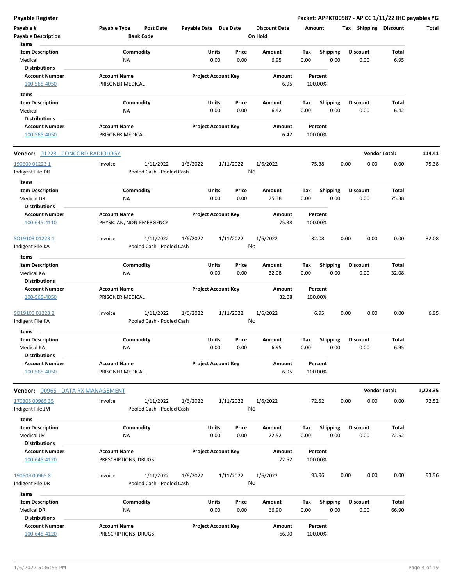| Payable #<br><b>Payable Description</b><br>Items              | Payable Type<br>Post Date<br><b>Bank Code</b>     | Payable Date Due Date      |                 | <b>Discount Date</b><br>On Hold | Amount                                 |                 |      | Tax Shipping Discount | Total    |
|---------------------------------------------------------------|---------------------------------------------------|----------------------------|-----------------|---------------------------------|----------------------------------------|-----------------|------|-----------------------|----------|
| <b>Item Description</b><br>Medical<br><b>Distributions</b>    | Commodity<br>ΝA                                   | Units<br>0.00              | Price<br>0.00   | Amount<br>6.95                  | Shipping<br>Tax<br>0.00<br>0.00        | <b>Discount</b> | 0.00 | Total<br>6.95         |          |
| <b>Account Number</b><br>100-565-4050                         | <b>Account Name</b><br>PRISONER MEDICAL           | <b>Project Account Key</b> |                 | Amount<br>6.95                  | Percent<br>100.00%                     |                 |      |                       |          |
| Items<br><b>Item Description</b>                              | Commodity                                         | Units                      | Price           | Amount                          | Tax                                    | <b>Discount</b> |      | Total                 |          |
| Medical<br><b>Distributions</b>                               | NA                                                | 0.00                       | 0.00            | 6.42                            | <b>Shipping</b><br>0.00<br>0.00        |                 | 0.00 | 6.42                  |          |
| <b>Account Number</b><br>100-565-4050                         | <b>Account Name</b><br>PRISONER MEDICAL           | <b>Project Account Key</b> |                 | Amount<br>6.42                  | Percent<br>100.00%                     |                 |      |                       |          |
| Vendor: 01223 - CONCORD RADIOLOGY                             |                                                   |                            |                 |                                 |                                        |                 |      | <b>Vendor Total:</b>  | 114.41   |
| 190609 01223 1<br>Indigent File DR                            | 1/11/2022<br>Invoice<br>Pooled Cash - Pooled Cash | 1/6/2022                   | 1/11/2022<br>No | 1/6/2022                        | 75.38                                  | 0.00            | 0.00 | 0.00                  | 75.38    |
| Items<br><b>Item Description</b><br><b>Medical DR</b>         | Commodity<br>ΝA                                   | Units<br>0.00              | Price<br>0.00   | Amount<br>75.38                 | <b>Shipping</b><br>Tax<br>0.00<br>0.00 | <b>Discount</b> | 0.00 | <b>Total</b><br>75.38 |          |
| <b>Distributions</b><br><b>Account Number</b><br>100-645-4110 | <b>Account Name</b><br>PHYSICIAN, NON-EMERGENCY   | <b>Project Account Key</b> |                 | Amount<br>75.38                 | Percent<br>100.00%                     |                 |      |                       |          |
| SO19103 01223 1                                               | Invoice<br>1/11/2022                              | 1/6/2022                   | 1/11/2022       | 1/6/2022                        | 32.08                                  | 0.00            | 0.00 | 0.00                  | 32.08    |
| Indigent File KA<br>Items                                     | Pooled Cash - Pooled Cash                         |                            | No              |                                 |                                        |                 |      |                       |          |
| <b>Item Description</b><br><b>Medical KA</b>                  | Commodity<br>NA                                   | Units<br>0.00              | Price<br>0.00   | Amount<br>32.08                 | Shipping<br>Tax<br>0.00<br>0.00        | <b>Discount</b> | 0.00 | Total<br>32.08        |          |
| <b>Distributions</b>                                          |                                                   |                            |                 |                                 |                                        |                 |      |                       |          |
| <b>Account Number</b><br>100-565-4050                         | <b>Account Name</b><br>PRISONER MEDICAL           | <b>Project Account Key</b> |                 | Amount<br>32.08                 | Percent<br>100.00%                     |                 |      |                       |          |
| <u>SO19103 01223 2</u><br>ndigent File KA                     | 1/11/2022<br>Invoice<br>Pooled Cash - Pooled Cash | 1/6/2022                   | 1/11/2022<br>No | 1/6/2022                        | 6.95                                   | 0.00            | 0.00 | 0.00                  | 6.95     |
| Items<br><b>Item Description</b><br>Medical KA                | Commodity<br>ΝA                                   | Units<br>0.00              | Price<br>0.00   | Amount<br>6.95                  | <b>Shipping</b><br>Tax<br>0.00<br>0.00 | <b>Discount</b> | 0.00 | Total<br>6.95         |          |
| Distributions<br><b>Account Number</b><br>100-565-4050        | <b>Account Name</b><br>PRISONER MEDICAL           | <b>Project Account Key</b> |                 | Amount<br>6.95                  | Percent<br>100.00%                     |                 |      |                       |          |
| Vendor: 00965 - DATA RX MANAGEMENT                            |                                                   |                            |                 |                                 |                                        |                 |      | <b>Vendor Total:</b>  | 1,223.35 |
| 170305 00965 35<br>Indigent File JM                           | Invoice<br>1/11/2022<br>Pooled Cash - Pooled Cash | 1/6/2022                   | 1/11/2022<br>No | 1/6/2022                        | 72.52                                  | 0.00            | 0.00 | 0.00                  | 72.52    |
| Items<br><b>Item Description</b><br>Medical JM                | Commodity<br>NA                                   | Units<br>0.00              | Price<br>0.00   | Amount<br>72.52                 | Tax<br><b>Shipping</b><br>0.00<br>0.00 | <b>Discount</b> | 0.00 | Total<br>72.52        |          |
| <b>Distributions</b><br><b>Account Number</b><br>100-645-4120 | <b>Account Name</b><br>PRESCRIPTIONS, DRUGS       | <b>Project Account Key</b> |                 | Amount<br>72.52                 | Percent<br>100.00%                     |                 |      |                       |          |
| 190609 00965 8<br>Indigent File DR                            | 1/11/2022<br>Invoice<br>Pooled Cash - Pooled Cash | 1/6/2022                   | 1/11/2022<br>No | 1/6/2022                        | 93.96                                  | 0.00            | 0.00 | 0.00                  | 93.96    |
| Items<br><b>Item Description</b><br>Medical DR                | Commodity<br>NA                                   | <b>Units</b><br>0.00       | Price<br>0.00   | Amount<br>66.90                 | Shipping<br>Tax<br>0.00<br>0.00        | <b>Discount</b> | 0.00 | Total<br>66.90        |          |
| <b>Distributions</b><br><b>Account Number</b><br>100-645-4120 | <b>Account Name</b><br>PRESCRIPTIONS, DRUGS       | <b>Project Account Key</b> |                 | Amount<br>66.90                 | Percent<br>100.00%                     |                 |      |                       |          |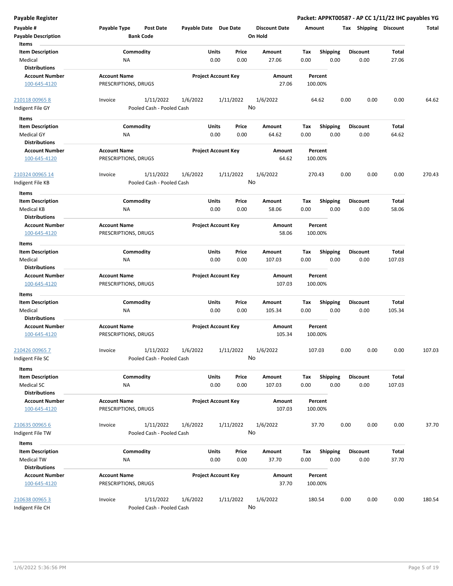| Payable #                  | Payable Type         | <b>Post Date</b>          | Payable Date Due Date |                            |           | <b>Discount Date</b> |      | Amount          | Tax             | Shipping | <b>Discount</b> | Total  |
|----------------------------|----------------------|---------------------------|-----------------------|----------------------------|-----------|----------------------|------|-----------------|-----------------|----------|-----------------|--------|
| <b>Payable Description</b> |                      | <b>Bank Code</b>          |                       |                            |           | On Hold              |      |                 |                 |          |                 |        |
| Items                      |                      |                           |                       |                            |           |                      |      |                 |                 |          |                 |        |
| <b>Item Description</b>    |                      | Commodity                 |                       | Units                      | Price     | Amount               | Tax  | <b>Shipping</b> | <b>Discount</b> |          | Total           |        |
| Medical                    | NA                   |                           |                       | 0.00                       | 0.00      | 27.06                | 0.00 | 0.00            |                 | 0.00     | 27.06           |        |
| <b>Distributions</b>       |                      |                           |                       |                            |           |                      |      |                 |                 |          |                 |        |
| <b>Account Number</b>      | <b>Account Name</b>  |                           |                       | <b>Project Account Key</b> |           | Amount               |      | Percent         |                 |          |                 |        |
| 100-645-4120               | PRESCRIPTIONS, DRUGS |                           |                       |                            |           | 27.06                |      | 100.00%         |                 |          |                 |        |
|                            |                      |                           |                       |                            |           |                      |      |                 |                 |          |                 |        |
| 210118 00965 8             | Invoice              | 1/11/2022                 | 1/6/2022              |                            | 1/11/2022 | 1/6/2022             |      | 64.62           | 0.00            | 0.00     | 0.00            | 64.62  |
| Indigent File GY           |                      | Pooled Cash - Pooled Cash |                       |                            |           | No                   |      |                 |                 |          |                 |        |
|                            |                      |                           |                       |                            |           |                      |      |                 |                 |          |                 |        |
| Items                      |                      |                           |                       |                            |           |                      |      |                 |                 |          |                 |        |
| <b>Item Description</b>    |                      | Commodity                 |                       | Units                      | Price     | Amount               | Tax  | <b>Shipping</b> | <b>Discount</b> |          | Total           |        |
| <b>Medical GY</b>          | ΝA                   |                           |                       | 0.00                       | 0.00      | 64.62                | 0.00 | 0.00            |                 | 0.00     | 64.62           |        |
| <b>Distributions</b>       |                      |                           |                       |                            |           |                      |      |                 |                 |          |                 |        |
| <b>Account Number</b>      | <b>Account Name</b>  |                           |                       | <b>Project Account Key</b> |           | Amount               |      | Percent         |                 |          |                 |        |
| 100-645-4120               | PRESCRIPTIONS, DRUGS |                           |                       |                            |           | 64.62                |      | 100.00%         |                 |          |                 |        |
|                            |                      |                           |                       |                            |           |                      |      |                 |                 |          |                 |        |
| 210324 00965 14            | Invoice              | 1/11/2022                 | 1/6/2022              |                            | 1/11/2022 | 1/6/2022             |      | 270.43          | 0.00            | 0.00     | 0.00            | 270.43 |
| Indigent File KB           |                      | Pooled Cash - Pooled Cash |                       |                            |           | No                   |      |                 |                 |          |                 |        |
| Items                      |                      |                           |                       |                            |           |                      |      |                 |                 |          |                 |        |
| <b>Item Description</b>    |                      | Commodity                 |                       | Units                      | Price     | Amount               | Tax  | <b>Shipping</b> | <b>Discount</b> |          | Total           |        |
| <b>Medical KB</b>          | ΝA                   |                           |                       | 0.00                       | 0.00      | 58.06                | 0.00 | 0.00            |                 | 0.00     | 58.06           |        |
| <b>Distributions</b>       |                      |                           |                       |                            |           |                      |      |                 |                 |          |                 |        |
| <b>Account Number</b>      | <b>Account Name</b>  |                           |                       | <b>Project Account Key</b> |           | Amount               |      | Percent         |                 |          |                 |        |
| 100-645-4120               | PRESCRIPTIONS, DRUGS |                           |                       |                            |           | 58.06                |      | 100.00%         |                 |          |                 |        |
|                            |                      |                           |                       |                            |           |                      |      |                 |                 |          |                 |        |
| Items                      |                      |                           |                       |                            |           |                      |      |                 |                 |          |                 |        |
| <b>Item Description</b>    |                      | Commodity                 |                       | Units                      | Price     | Amount               | Tax  | <b>Shipping</b> | <b>Discount</b> |          | Total           |        |
| Medical                    | NA                   |                           |                       | 0.00                       | 0.00      | 107.03               | 0.00 | 0.00            |                 | 0.00     | 107.03          |        |
| <b>Distributions</b>       |                      |                           |                       |                            |           |                      |      |                 |                 |          |                 |        |
| <b>Account Number</b>      | <b>Account Name</b>  |                           |                       | <b>Project Account Key</b> |           | Amount               |      | Percent         |                 |          |                 |        |
| 100-645-4120               | PRESCRIPTIONS, DRUGS |                           |                       |                            |           | 107.03               |      | 100.00%         |                 |          |                 |        |
| Items                      |                      |                           |                       |                            |           |                      |      |                 |                 |          |                 |        |
| <b>Item Description</b>    |                      | Commodity                 |                       | Units                      | Price     | Amount               | Tax  | <b>Shipping</b> | <b>Discount</b> |          | Total           |        |
| Medical                    | ΝA                   |                           |                       | 0.00                       | 0.00      | 105.34               | 0.00 | 0.00            |                 | 0.00     | 105.34          |        |
| <b>Distributions</b>       |                      |                           |                       |                            |           |                      |      |                 |                 |          |                 |        |
| <b>Account Number</b>      | <b>Account Name</b>  |                           |                       | <b>Project Account Key</b> |           | Amount               |      | Percent         |                 |          |                 |        |
| 100-645-4120               | PRESCRIPTIONS, DRUGS |                           |                       |                            |           | 105.34               |      | 100.00%         |                 |          |                 |        |
|                            |                      |                           |                       |                            |           |                      |      |                 |                 |          |                 |        |
| 210426 00965 7             | Invoice              | 1/11/2022                 | 1/6/2022              |                            | 1/11/2022 | 1/6/2022             |      | 107.03          | 0.00            | 0.00     | 0.00            | 107.03 |
| Indigent File SC           |                      | Pooled Cash - Pooled Cash |                       |                            |           | <b>No</b>            |      |                 |                 |          |                 |        |
| <b>Items</b>               |                      |                           |                       |                            |           |                      |      |                 |                 |          |                 |        |
| <b>Item Description</b>    |                      | Commodity                 |                       | Units                      | Price     | Amount               | Tax  | <b>Shipping</b> | <b>Discount</b> |          | Total           |        |
| Medical SC                 | ΝA                   |                           |                       | 0.00                       | 0.00      | 107.03               | 0.00 | 0.00            |                 | 0.00     | 107.03          |        |
| <b>Distributions</b>       |                      |                           |                       |                            |           |                      |      |                 |                 |          |                 |        |
|                            |                      |                           |                       |                            |           |                      |      |                 |                 |          |                 |        |
| <b>Account Number</b>      | <b>Account Name</b>  |                           |                       | <b>Project Account Key</b> |           | Amount               |      | Percent         |                 |          |                 |        |
| 100-645-4120               | PRESCRIPTIONS, DRUGS |                           |                       |                            |           | 107.03               |      | 100.00%         |                 |          |                 |        |
|                            | Invoice              |                           |                       |                            |           |                      |      |                 | 0.00            |          | 0.00            |        |
| 210635 00965 6             |                      | 1/11/2022                 | 1/6/2022              |                            | 1/11/2022 | 1/6/2022<br>No       |      | 37.70           |                 | 0.00     |                 | 37.70  |
| Indigent File TW           |                      | Pooled Cash - Pooled Cash |                       |                            |           |                      |      |                 |                 |          |                 |        |
| Items                      |                      |                           |                       |                            |           |                      |      |                 |                 |          |                 |        |
| <b>Item Description</b>    |                      | Commodity                 |                       | Units                      | Price     | Amount               | Tax  | Shipping        | <b>Discount</b> |          | Total           |        |
| Medical TW                 | NA                   |                           |                       | 0.00                       | 0.00      | 37.70                | 0.00 | 0.00            |                 | 0.00     | 37.70           |        |
| <b>Distributions</b>       |                      |                           |                       |                            |           |                      |      |                 |                 |          |                 |        |
| <b>Account Number</b>      | <b>Account Name</b>  |                           |                       | <b>Project Account Key</b> |           | Amount               |      | Percent         |                 |          |                 |        |
| 100-645-4120               | PRESCRIPTIONS, DRUGS |                           |                       |                            |           | 37.70                |      | 100.00%         |                 |          |                 |        |
|                            |                      |                           |                       |                            |           |                      |      |                 |                 |          |                 |        |
| 210638 00965 3             | Invoice              | 1/11/2022                 | 1/6/2022              |                            | 1/11/2022 | 1/6/2022             |      | 180.54          | 0.00            | 0.00     | 0.00            | 180.54 |
| Indigent File CH           |                      | Pooled Cash - Pooled Cash |                       |                            |           | No                   |      |                 |                 |          |                 |        |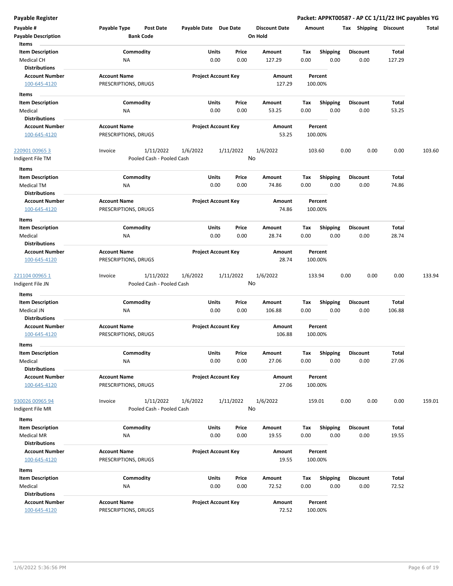| Payable #<br><b>Payable Description</b>                       | Payable Type<br><b>Bank Code</b>            | Post Date                              | Payable Date Due Date |                                | <b>Discount Date</b><br>On Hold |             | Amount                  | Shipping<br>Tax         | <b>Discount</b> | Total  |
|---------------------------------------------------------------|---------------------------------------------|----------------------------------------|-----------------------|--------------------------------|---------------------------------|-------------|-------------------------|-------------------------|-----------------|--------|
| Items<br><b>Item Description</b><br><b>Medical CH</b>         | Commodity<br>ΝA                             |                                        |                       | Units<br>Price<br>0.00<br>0.00 | Amount<br>127.29                | Tax<br>0.00 | <b>Shipping</b><br>0.00 | <b>Discount</b><br>0.00 | Total<br>127.29 |        |
| <b>Distributions</b><br><b>Account Number</b><br>100-645-4120 | <b>Account Name</b><br>PRESCRIPTIONS, DRUGS |                                        |                       | <b>Project Account Key</b>     | Amount<br>127.29                |             | Percent<br>100.00%      |                         |                 |        |
| Items                                                         |                                             |                                        |                       |                                |                                 |             |                         |                         |                 |        |
| <b>Item Description</b><br>Medical                            | Commodity<br>NA                             |                                        |                       | Units<br>Price<br>0.00<br>0.00 | Amount<br>53.25                 | Тах<br>0.00 | <b>Shipping</b><br>0.00 | <b>Discount</b><br>0.00 | Total<br>53.25  |        |
| <b>Distributions</b><br><b>Account Number</b>                 | <b>Account Name</b>                         |                                        |                       | <b>Project Account Key</b>     | Amount                          |             | Percent                 |                         |                 |        |
| 100-645-4120                                                  | PRESCRIPTIONS, DRUGS                        |                                        |                       |                                | 53.25                           |             | 100.00%                 |                         |                 |        |
| 220901 00965 3<br>Indigent File TM                            | Invoice                                     | 1/11/2022<br>Pooled Cash - Pooled Cash | 1/6/2022              | 1/11/2022                      | 1/6/2022<br>No                  |             | 103.60                  | 0.00<br>0.00            | 0.00            | 103.60 |
| Items                                                         |                                             |                                        |                       |                                |                                 |             |                         |                         |                 |        |
| <b>Item Description</b><br>Medical TM<br>Distributions        | Commodity<br><b>NA</b>                      |                                        |                       | Units<br>Price<br>0.00<br>0.00 | Amount<br>74.86                 | Tax<br>0.00 | <b>Shipping</b><br>0.00 | <b>Discount</b><br>0.00 | Total<br>74.86  |        |
| <b>Account Number</b><br>100-645-4120                         | <b>Account Name</b><br>PRESCRIPTIONS, DRUGS |                                        |                       | <b>Project Account Key</b>     | Amount<br>74.86                 |             | Percent<br>100.00%      |                         |                 |        |
| Items<br><b>Item Description</b>                              | Commodity                                   |                                        |                       | Units<br>Price                 | Amount                          | Tax         | <b>Shipping</b>         | <b>Discount</b>         | Total           |        |
| Medical<br><b>Distributions</b>                               | NA                                          |                                        |                       | 0.00<br>0.00                   | 28.74                           | 0.00        | 0.00                    | 0.00                    | 28.74           |        |
| <b>Account Number</b><br>100-645-4120                         | <b>Account Name</b><br>PRESCRIPTIONS, DRUGS |                                        |                       | <b>Project Account Key</b>     | Amount<br>28.74                 |             | Percent<br>100.00%      |                         |                 |        |
| 221104 00965 1<br>Indigent File JN                            | Invoice                                     | 1/11/2022<br>Pooled Cash - Pooled Cash | 1/6/2022              | 1/11/2022                      | 1/6/2022<br>No                  |             | 133.94                  | 0.00<br>0.00            | 0.00            | 133.94 |
| Items                                                         |                                             |                                        |                       |                                |                                 |             |                         |                         |                 |        |
| <b>Item Description</b><br>Medical JN<br><b>Distributions</b> | Commodity<br>ΝA                             |                                        |                       | Units<br>Price<br>0.00<br>0.00 | Amount<br>106.88                | Tax<br>0.00 | <b>Shipping</b><br>0.00 | <b>Discount</b><br>0.00 | Total<br>106.88 |        |
| <b>Account Number</b><br>100-645-4120                         | <b>Account Name</b><br>PRESCRIPTIONS, DRUGS |                                        |                       | <b>Project Account Key</b>     | Amount<br>106.88                |             | Percent<br>100.00%      |                         |                 |        |
| Items                                                         |                                             |                                        |                       |                                |                                 |             |                         |                         |                 |        |
| Item Description<br>Medical<br><b>Distributions</b>           | Commodity<br><b>NA</b>                      |                                        |                       | Units<br>Price<br>0.00<br>0.00 | Amount<br>27.06                 | Tax<br>0.00 | <b>Shipping</b><br>0.00 | <b>Discount</b><br>0.00 | Total<br>27.06  |        |
| <b>Account Number</b><br>100-645-4120                         | <b>Account Name</b><br>PRESCRIPTIONS, DRUGS |                                        |                       | <b>Project Account Key</b>     | Amount<br>27.06                 |             | Percent<br>100.00%      |                         |                 |        |
| 930026 00965 94<br>Indigent File MR                           | Invoice                                     | 1/11/2022<br>Pooled Cash - Pooled Cash | 1/6/2022              | 1/11/2022                      | 1/6/2022<br>No                  |             | 159.01                  | 0.00<br>0.00            | 0.00            | 159.01 |
| Items<br><b>Item Description</b>                              | Commodity                                   |                                        |                       | Units<br>Price                 | Amount                          | Тах         | <b>Shipping</b>         | <b>Discount</b>         | Total           |        |
| Medical MR<br><b>Distributions</b>                            | NA                                          |                                        |                       | 0.00<br>0.00                   | 19.55                           | 0.00        | 0.00                    | 0.00                    | 19.55           |        |
| <b>Account Number</b><br>100-645-4120                         | <b>Account Name</b><br>PRESCRIPTIONS, DRUGS |                                        |                       | <b>Project Account Key</b>     | Amount<br>19.55                 |             | Percent<br>100.00%      |                         |                 |        |
| Items                                                         |                                             |                                        |                       |                                |                                 |             |                         |                         |                 |        |
| <b>Item Description</b><br>Medical<br><b>Distributions</b>    | Commodity<br>NA                             |                                        |                       | Units<br>Price<br>0.00<br>0.00 | Amount<br>72.52                 | Tax<br>0.00 | <b>Shipping</b><br>0.00 | <b>Discount</b><br>0.00 | Total<br>72.52  |        |
| <b>Account Number</b><br>100-645-4120                         | <b>Account Name</b><br>PRESCRIPTIONS, DRUGS |                                        |                       | <b>Project Account Key</b>     | Amount<br>72.52                 |             | Percent<br>100.00%      |                         |                 |        |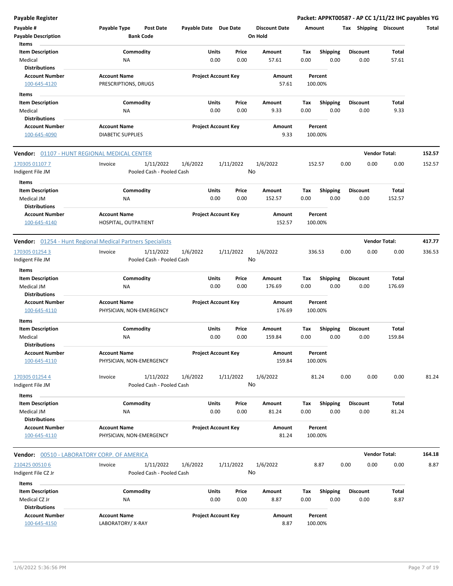| Payable #                                                  | Payable Type                                    | <b>Post Date</b>          | Payable Date Due Date |                            |           | <b>Discount Date</b> | Amount |                    |      | Tax Shipping         | <b>Discount</b> | Total  |
|------------------------------------------------------------|-------------------------------------------------|---------------------------|-----------------------|----------------------------|-----------|----------------------|--------|--------------------|------|----------------------|-----------------|--------|
| <b>Payable Description</b><br>Items                        | <b>Bank Code</b>                                |                           |                       |                            |           | On Hold              |        |                    |      |                      |                 |        |
| <b>Item Description</b>                                    | Commodity                                       |                           |                       | <b>Units</b>               | Price     | Amount               | Tax    | Shipping           |      | <b>Discount</b>      | Total           |        |
| Medical                                                    | ΝA                                              |                           |                       | 0.00                       | 0.00      | 57.61                | 0.00   | 0.00               |      | 0.00                 | 57.61           |        |
| <b>Distributions</b>                                       |                                                 |                           |                       |                            |           |                      |        |                    |      |                      |                 |        |
| <b>Account Number</b>                                      | <b>Account Name</b>                             |                           |                       | <b>Project Account Key</b> |           | Amount               |        | Percent            |      |                      |                 |        |
| 100-645-4120                                               | PRESCRIPTIONS, DRUGS                            |                           |                       |                            |           | 57.61                |        | 100.00%            |      |                      |                 |        |
| Items                                                      |                                                 |                           |                       |                            |           |                      |        |                    |      |                      |                 |        |
| <b>Item Description</b>                                    | Commodity                                       |                           |                       | Units                      | Price     | Amount               | Тах    | <b>Shipping</b>    |      | <b>Discount</b>      | Total           |        |
| Medical                                                    | NA                                              |                           |                       | 0.00                       | 0.00      | 9.33                 | 0.00   | 0.00               |      | 0.00                 | 9.33            |        |
| <b>Distributions</b>                                       |                                                 |                           |                       |                            |           |                      |        |                    |      |                      |                 |        |
| <b>Account Number</b><br>100-645-4090                      | <b>Account Name</b><br><b>DIABETIC SUPPLIES</b> |                           |                       | <b>Project Account Key</b> |           | Amount<br>9.33       |        | Percent<br>100.00% |      |                      |                 |        |
|                                                            |                                                 |                           |                       |                            |           |                      |        |                    |      |                      |                 |        |
| <b>Vendor:</b> 01107 - HUNT REGIONAL MEDICAL CENTER        |                                                 |                           |                       |                            |           |                      |        |                    |      | <b>Vendor Total:</b> |                 | 152.57 |
| 170305 01107 7                                             | Invoice                                         | 1/11/2022                 | 1/6/2022              |                            | 1/11/2022 | 1/6/2022             |        | 152.57             | 0.00 | 0.00                 | 0.00            | 152.57 |
| Indigent File JM                                           |                                                 | Pooled Cash - Pooled Cash |                       |                            | No        |                      |        |                    |      |                      |                 |        |
| Items                                                      |                                                 |                           |                       |                            |           |                      |        |                    |      |                      |                 |        |
| <b>Item Description</b>                                    | Commodity                                       |                           |                       | <b>Units</b>               | Price     | Amount               | Tax    | <b>Shipping</b>    |      | <b>Discount</b>      | Total           |        |
| Medical JM<br><b>Distributions</b>                         | NA                                              |                           |                       | 0.00                       | 0.00      | 152.57               | 0.00   | 0.00               |      | 0.00                 | 152.57          |        |
| <b>Account Number</b>                                      | <b>Account Name</b>                             |                           |                       | <b>Project Account Key</b> |           | Amount               |        | Percent            |      |                      |                 |        |
| 100-645-4140                                               | HOSPITAL, OUTPATIENT                            |                           |                       |                            |           | 152.57               |        | 100.00%            |      |                      |                 |        |
| Vendor: 01254 - Hunt Regional Medical Partners Specialists |                                                 |                           |                       |                            |           |                      |        |                    |      | <b>Vendor Total:</b> |                 | 417.77 |
| 170305 01254 3                                             | Invoice                                         | 1/11/2022                 | 1/6/2022              |                            | 1/11/2022 | 1/6/2022             |        | 336.53             | 0.00 | 0.00                 | 0.00            | 336.53 |
| Indigent File JM                                           |                                                 | Pooled Cash - Pooled Cash |                       |                            | No        |                      |        |                    |      |                      |                 |        |
| Items                                                      |                                                 |                           |                       |                            |           |                      |        |                    |      |                      |                 |        |
| <b>Item Description</b>                                    | Commodity                                       |                           |                       | <b>Units</b>               | Price     | Amount               | Tax    | Shipping           |      | <b>Discount</b>      | Total           |        |
| Medical JM                                                 | ΝA                                              |                           |                       | 0.00                       | 0.00      | 176.69               | 0.00   | 0.00               |      | 0.00                 | 176.69          |        |
| <b>Distributions</b>                                       |                                                 |                           |                       |                            |           |                      |        |                    |      |                      |                 |        |
| <b>Account Number</b><br>100-645-4110                      | <b>Account Name</b><br>PHYSICIAN, NON-EMERGENCY |                           |                       | <b>Project Account Key</b> |           | Amount<br>176.69     |        | Percent<br>100.00% |      |                      |                 |        |
| Items                                                      |                                                 |                           |                       |                            |           |                      |        |                    |      |                      |                 |        |
| <b>Item Description</b>                                    | Commodity                                       |                           |                       | Units                      | Price     | Amount               | Tax    | <b>Shipping</b>    |      | <b>Discount</b>      | Total           |        |
| Medical                                                    | NA                                              |                           |                       | 0.00                       | 0.00      | 159.84               | 0.00   | 0.00               |      | 0.00                 | 159.84          |        |
| <b>Distributions</b>                                       |                                                 |                           |                       |                            |           |                      |        |                    |      |                      |                 |        |
| <b>Account Number</b>                                      | <b>Account Name</b>                             |                           |                       | <b>Project Account Key</b> |           | Amount               |        | Percent            |      |                      |                 |        |
| 100-645-4110                                               | PHYSICIAN, NON-EMERGENCY                        |                           |                       |                            |           | 159.84               |        | 100.00%            |      |                      |                 |        |
| 170305 01254 4                                             | Invoice                                         | 1/11/2022                 | 1/6/2022              |                            | 1/11/2022 | 1/6/2022             |        | 81.24              | 0.00 | 0.00                 | 0.00            | 81.24  |
| Indigent File JM                                           |                                                 | Pooled Cash - Pooled Cash |                       |                            | No        |                      |        |                    |      |                      |                 |        |
| Items                                                      |                                                 |                           |                       |                            |           |                      |        |                    |      |                      |                 |        |
| <b>Item Description</b>                                    | Commodity                                       |                           |                       | <b>Units</b>               | Price     | Amount               | Tax    | <b>Shipping</b>    |      | <b>Discount</b>      | Total           |        |
| Medical JM                                                 | ΝA                                              |                           |                       | 0.00                       | 0.00      | 81.24                | 0.00   | 0.00               |      | 0.00                 | 81.24           |        |
| <b>Distributions</b>                                       |                                                 |                           |                       |                            |           |                      |        |                    |      |                      |                 |        |
| <b>Account Number</b>                                      | <b>Account Name</b>                             |                           |                       | <b>Project Account Key</b> |           | Amount               |        | Percent            |      |                      |                 |        |
| 100-645-4110                                               | PHYSICIAN, NON-EMERGENCY                        |                           |                       |                            |           | 81.24                |        | 100.00%            |      |                      |                 |        |
| Vendor: 00510 - LABORATORY CORP. OF AMERICA                |                                                 |                           |                       |                            |           |                      |        |                    |      | <b>Vendor Total:</b> |                 | 164.18 |
| 210425 00510 6                                             | Invoice                                         | 1/11/2022                 | 1/6/2022              |                            | 1/11/2022 | 1/6/2022             |        | 8.87               | 0.00 | 0.00                 | 0.00            | 8.87   |
| Indigent File CZ Jr                                        |                                                 | Pooled Cash - Pooled Cash |                       |                            | No        |                      |        |                    |      |                      |                 |        |
| Items                                                      |                                                 |                           |                       |                            |           |                      |        |                    |      |                      |                 |        |
| <b>Item Description</b>                                    | Commodity                                       |                           |                       | <b>Units</b>               | Price     | Amount               | Tax    | <b>Shipping</b>    |      | <b>Discount</b>      | Total           |        |
| Medical CZ Jr                                              | ΝA                                              |                           |                       | 0.00                       | 0.00      | 8.87                 | 0.00   | 0.00               |      | 0.00                 | 8.87            |        |
| <b>Distributions</b>                                       |                                                 |                           |                       |                            |           |                      |        |                    |      |                      |                 |        |
| <b>Account Number</b>                                      | <b>Account Name</b>                             |                           |                       | <b>Project Account Key</b> |           | Amount               |        | Percent            |      |                      |                 |        |
| 100-645-4150                                               | LABORATORY/X-RAY                                |                           |                       |                            |           | 8.87                 |        | 100.00%            |      |                      |                 |        |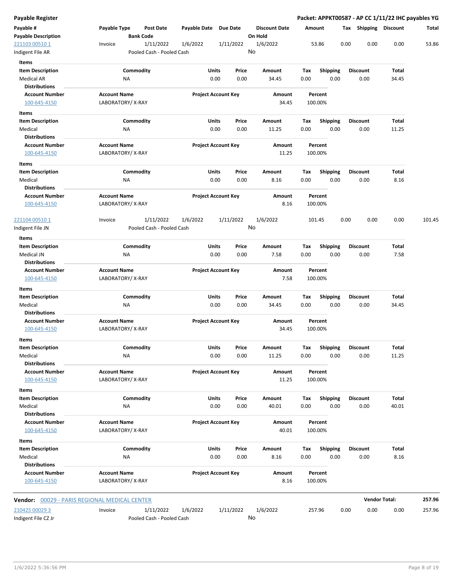| Payable Register                                     |                                         |                                        |                       |                            |                                 |             |                         |      |                         | Packet: APPKT00587 - AP CC 1/11/22 IHC payables YG |        |
|------------------------------------------------------|-----------------------------------------|----------------------------------------|-----------------------|----------------------------|---------------------------------|-------------|-------------------------|------|-------------------------|----------------------------------------------------|--------|
| Payable #<br><b>Payable Description</b>              | Payable Type                            | Post Date<br><b>Bank Code</b>          | Payable Date Due Date |                            | <b>Discount Date</b><br>On Hold |             | Amount                  |      | Tax Shipping Discount   |                                                    | Total  |
| 221103 00510 1<br>Indigent File AR                   | Invoice                                 | 1/11/2022<br>Pooled Cash - Pooled Cash | 1/6/2022              | 1/11/2022                  | 1/6/2022<br>No                  |             | 53.86                   | 0.00 | 0.00                    | 0.00                                               | 53.86  |
| Items                                                |                                         |                                        |                       |                            |                                 |             |                         |      |                         |                                                    |        |
| <b>Item Description</b><br>Medical AR                | ΝA                                      | Commodity                              | Units                 | Price<br>0.00<br>0.00      | Amount<br>34.45                 | Tax<br>0.00 | <b>Shipping</b><br>0.00 |      | <b>Discount</b><br>0.00 | Total<br>34.45                                     |        |
| <b>Distributions</b>                                 |                                         |                                        |                       |                            |                                 |             |                         |      |                         |                                                    |        |
| <b>Account Number</b><br>100-645-4150                | <b>Account Name</b><br>LABORATORY/X-RAY |                                        |                       | <b>Project Account Key</b> | Amount<br>34.45                 |             | Percent<br>100.00%      |      |                         |                                                    |        |
| Items                                                |                                         |                                        |                       |                            |                                 |             |                         |      |                         |                                                    |        |
| <b>Item Description</b>                              |                                         | Commodity                              | Units                 | Price                      | Amount                          | Tax         | Shipping                |      | <b>Discount</b>         | Total                                              |        |
| Medical                                              | ΝA                                      |                                        |                       | 0.00<br>0.00               | 11.25                           | 0.00        | 0.00                    |      | 0.00                    | 11.25                                              |        |
| <b>Distributions</b>                                 |                                         |                                        |                       |                            |                                 |             |                         |      |                         |                                                    |        |
| <b>Account Number</b><br>100-645-4150                | <b>Account Name</b><br>LABORATORY/X-RAY |                                        |                       | <b>Project Account Key</b> | Amount<br>11.25                 |             | Percent<br>100.00%      |      |                         |                                                    |        |
| Items                                                |                                         |                                        |                       |                            |                                 |             |                         |      |                         |                                                    |        |
| <b>Item Description</b>                              |                                         | Commodity                              | Units                 | Price                      | Amount                          | Tax         | Shipping                |      | <b>Discount</b>         | Total                                              |        |
| Medical                                              | NA                                      |                                        |                       | 0.00<br>0.00               | 8.16                            | 0.00        | 0.00                    |      | 0.00                    | 8.16                                               |        |
| <b>Distributions</b>                                 |                                         |                                        |                       |                            |                                 |             |                         |      |                         |                                                    |        |
| <b>Account Number</b><br>100-645-4150                | <b>Account Name</b><br>LABORATORY/X-RAY |                                        |                       | <b>Project Account Key</b> | Amount<br>8.16                  |             | Percent<br>100.00%      |      |                         |                                                    |        |
| 221104 00510 1<br>Indigent File JN                   | Invoice                                 | 1/11/2022<br>Pooled Cash - Pooled Cash | 1/6/2022              | 1/11/2022                  | 1/6/2022<br>No                  |             | 101.45                  | 0.00 | 0.00                    | 0.00                                               | 101.45 |
| Items                                                |                                         |                                        |                       |                            |                                 |             |                         |      |                         |                                                    |        |
| <b>Item Description</b>                              |                                         | Commodity                              | Units                 | Price                      | Amount                          | Tax         | <b>Shipping</b>         |      | <b>Discount</b>         | Total                                              |        |
| Medical JN                                           | ΝA                                      |                                        |                       | 0.00<br>0.00               | 7.58                            | 0.00        | 0.00                    |      | 0.00                    | 7.58                                               |        |
| <b>Distributions</b>                                 |                                         |                                        |                       |                            |                                 |             |                         |      |                         |                                                    |        |
| <b>Account Number</b>                                | <b>Account Name</b>                     |                                        |                       | <b>Project Account Key</b> | Amount                          |             | Percent                 |      |                         |                                                    |        |
| 100-645-4150                                         | LABORATORY/X-RAY                        |                                        |                       |                            | 7.58                            |             | 100.00%                 |      |                         |                                                    |        |
| <b>Items</b>                                         |                                         |                                        |                       |                            |                                 |             |                         |      |                         |                                                    |        |
| <b>Item Description</b>                              |                                         | Commodity                              | Units                 | Price                      | Amount                          | Tax         | <b>Shipping</b>         |      | <b>Discount</b>         | Total                                              |        |
| Medical<br><b>Distributions</b>                      | NA                                      |                                        |                       | 0.00<br>0.00               | 34.45                           | 0.00        | 0.00                    |      | 0.00                    | 34.45                                              |        |
| <b>Account Number</b>                                | <b>Account Name</b>                     |                                        |                       | <b>Project Account Key</b> | Amount                          |             | Percent                 |      |                         |                                                    |        |
| 100-645-4150                                         | LABORATORY/X-RAY                        |                                        |                       |                            | 34.45                           |             | 100.00%                 |      |                         |                                                    |        |
| Items<br><b>Item Description</b>                     |                                         | Commodity                              | Units                 | Price                      | Amount                          | Tax         | Shipping                |      | Discount                | Total                                              |        |
| Medical                                              | ΝA                                      |                                        |                       | 0.00<br>0.00               | 11.25                           | 0.00        | 0.00                    |      | 0.00                    | 11.25                                              |        |
| <b>Distributions</b>                                 |                                         |                                        |                       |                            |                                 |             |                         |      |                         |                                                    |        |
| <b>Account Number</b>                                | <b>Account Name</b>                     |                                        |                       | <b>Project Account Key</b> | Amount                          |             | Percent                 |      |                         |                                                    |        |
| 100-645-4150                                         | LABORATORY/X-RAY                        |                                        |                       |                            | 11.25                           |             | 100.00%                 |      |                         |                                                    |        |
| Items                                                |                                         |                                        |                       |                            |                                 |             |                         |      |                         |                                                    |        |
| <b>Item Description</b>                              |                                         | Commodity                              | Units                 | Price                      | Amount                          | Tax         | <b>Shipping</b>         |      | <b>Discount</b>         | Total                                              |        |
| Medical                                              | NA                                      |                                        |                       | 0.00<br>0.00               | 40.01                           | 0.00        | 0.00                    |      | 0.00                    | 40.01                                              |        |
| <b>Distributions</b>                                 |                                         |                                        |                       |                            |                                 |             |                         |      |                         |                                                    |        |
| <b>Account Number</b>                                | <b>Account Name</b>                     |                                        |                       | <b>Project Account Key</b> | Amount                          |             | Percent                 |      |                         |                                                    |        |
| 100-645-4150                                         | LABORATORY/X-RAY                        |                                        |                       |                            | 40.01                           |             | 100.00%                 |      |                         |                                                    |        |
| Items                                                |                                         |                                        |                       |                            |                                 |             |                         |      |                         |                                                    |        |
| <b>Item Description</b>                              |                                         | Commodity                              | Units                 | Price                      | Amount                          | Tax         | Shipping                |      | <b>Discount</b>         | Total                                              |        |
| Medical                                              | <b>NA</b>                               |                                        |                       | 0.00<br>0.00               | 8.16                            | 0.00        | 0.00                    |      | 0.00                    | 8.16                                               |        |
| <b>Distributions</b>                                 |                                         |                                        |                       |                            |                                 |             |                         |      |                         |                                                    |        |
| <b>Account Number</b>                                | <b>Account Name</b>                     |                                        |                       | <b>Project Account Key</b> | Amount                          |             | Percent                 |      |                         |                                                    |        |
| 100-645-4150                                         | LABORATORY/X-RAY                        |                                        |                       |                            | 8.16                            |             | 100.00%                 |      |                         |                                                    |        |
| <b>Vendor:</b> 00029 - PARIS REGIONAL MEDICAL CENTER |                                         |                                        |                       |                            |                                 |             |                         |      |                         | <b>Vendor Total:</b>                               | 257.96 |
| 210425 00029 3                                       | Invoice                                 | 1/11/2022                              | 1/6/2022              | 1/11/2022                  | 1/6/2022                        |             | 257.96                  | 0.00 | 0.00                    | 0.00                                               | 257.96 |
| Indigent File CZ Jr                                  |                                         | Pooled Cash - Pooled Cash              |                       |                            | No                              |             |                         |      |                         |                                                    |        |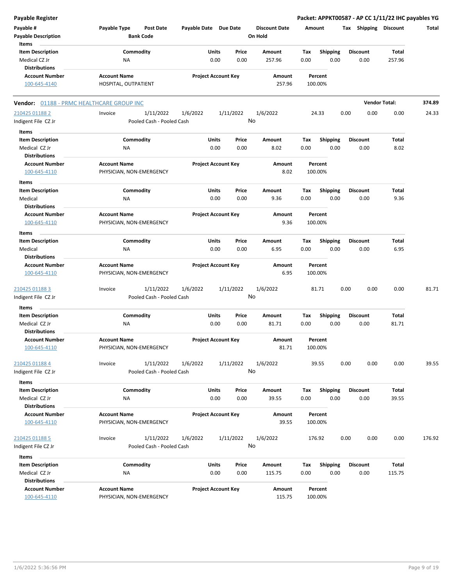| <b>Payable Register</b>                                                   |                                                   |                       |                            |                                 | Packet: APPKT00587 - AP CC 1/11/22 IHC payables YG |                         |                       |        |
|---------------------------------------------------------------------------|---------------------------------------------------|-----------------------|----------------------------|---------------------------------|----------------------------------------------------|-------------------------|-----------------------|--------|
| Payable #<br><b>Payable Description</b>                                   | Payable Type<br>Post Date<br><b>Bank Code</b>     | Payable Date Due Date |                            | <b>Discount Date</b><br>On Hold | Amount                                             |                         | Tax Shipping Discount | Total  |
| Items<br><b>Item Description</b><br>Medical CZ Jr<br><b>Distributions</b> | Commodity<br><b>NA</b>                            | Units<br>0.00         | Price<br>0.00              | Amount<br>257.96                | <b>Shipping</b><br>Tax<br>0.00<br>0.00             | <b>Discount</b><br>0.00 | Total<br>257.96       |        |
| <b>Account Number</b><br>100-645-4140                                     | <b>Account Name</b><br>HOSPITAL, OUTPATIENT       |                       | <b>Project Account Key</b> | Amount<br>257.96                | Percent<br>100.00%                                 |                         |                       |        |
| Vendor: 01188 - PRMC HEALTHCARE GROUP INC                                 |                                                   |                       |                            |                                 |                                                    |                         | <b>Vendor Total:</b>  | 374.89 |
| 210425 01188 2<br>Indigent File CZ Jr                                     | Invoice<br>1/11/2022<br>Pooled Cash - Pooled Cash | 1/6/2022              | 1/11/2022                  | 1/6/2022<br>No                  | 24.33                                              | 0.00                    | 0.00<br>0.00          | 24.33  |
| Items                                                                     |                                                   |                       |                            |                                 |                                                    |                         |                       |        |
| <b>Item Description</b><br>Medical CZ Jr                                  | Commodity<br>ΝA                                   | Units<br>0.00         | Price<br>0.00              | Amount<br>8.02                  | Tax<br><b>Shipping</b><br>0.00<br>0.00             | <b>Discount</b><br>0.00 | Total<br>8.02         |        |
| <b>Distributions</b><br><b>Account Number</b><br>100-645-4110             | <b>Account Name</b><br>PHYSICIAN, NON-EMERGENCY   |                       | <b>Project Account Key</b> | Amount<br>8.02                  | Percent<br>100.00%                                 |                         |                       |        |
| Items<br><b>Item Description</b><br>Medical                               | Commodity<br>ΝA                                   | Units<br>0.00         | Price<br>0.00              | Amount<br>9.36                  | Tax<br><b>Shipping</b><br>0.00<br>0.00             | <b>Discount</b><br>0.00 | Total<br>9.36         |        |
| <b>Distributions</b><br><b>Account Number</b>                             | <b>Account Name</b>                               |                       | <b>Project Account Key</b> | Amount                          | Percent                                            |                         |                       |        |
| 100-645-4110<br>Items                                                     | PHYSICIAN, NON-EMERGENCY                          |                       |                            | 9.36                            | 100.00%                                            |                         |                       |        |
| <b>Item Description</b><br>Medical                                        | Commodity<br><b>NA</b>                            | Units<br>0.00         | Price<br>0.00              | Amount<br>6.95                  | <b>Shipping</b><br>Tax<br>0.00<br>0.00             | <b>Discount</b><br>0.00 | Total<br>6.95         |        |
| <b>Distributions</b><br><b>Account Number</b><br>100-645-4110             | <b>Account Name</b><br>PHYSICIAN, NON-EMERGENCY   |                       | <b>Project Account Key</b> | Amount<br>6.95                  | Percent<br>100.00%                                 |                         |                       |        |
| 210425 01188 3<br>Indigent File CZ Jr                                     | 1/11/2022<br>Invoice<br>Pooled Cash - Pooled Cash | 1/6/2022              | 1/11/2022                  | 1/6/2022<br>No                  | 81.71                                              | 0.00                    | 0.00<br>0.00          | 81.71  |
| Items                                                                     |                                                   |                       |                            |                                 |                                                    |                         |                       |        |
| <b>Item Description</b><br>Medical CZ Jr<br><b>Distributions</b>          | Commodity<br>ΝA                                   | Units<br>0.00         | Price<br>0.00              | Amount<br>81.71                 | Tax<br><b>Shipping</b><br>0.00<br>0.00             | <b>Discount</b><br>0.00 | <b>Total</b><br>81.71 |        |
| <b>Account Number</b><br>100-645-4110                                     | <b>Account Name</b><br>PHYSICIAN, NON-EMERGENCY   |                       | <b>Project Account Key</b> | Amount<br>81.71                 | Percent<br>100.00%                                 |                         |                       |        |
| 210425 01188 4<br>Indigent File CZ Jr                                     | Invoice<br>1/11/2022<br>Pooled Cash - Pooled Cash | 1/6/2022              | 1/11/2022                  | 1/6/2022<br>No                  | 39.55                                              | 0.00                    | 0.00<br>0.00          | 39.55  |
| Items                                                                     |                                                   |                       |                            |                                 |                                                    |                         |                       |        |
| <b>Item Description</b><br>Medical CZ Jr<br><b>Distributions</b>          | Commodity<br>NA                                   | Units<br>0.00         | Price<br>0.00              | Amount<br>39.55                 | Tax<br>Shipping<br>0.00<br>0.00                    | <b>Discount</b><br>0.00 | Total<br>39.55        |        |
| <b>Account Number</b><br>100-645-4110                                     | <b>Account Name</b><br>PHYSICIAN, NON-EMERGENCY   |                       | <b>Project Account Key</b> | Amount<br>39.55                 | Percent<br>100.00%                                 |                         |                       |        |
| 210425 01188 5<br>Indigent File CZ Jr                                     | Invoice<br>1/11/2022<br>Pooled Cash - Pooled Cash | 1/6/2022              | 1/11/2022                  | 1/6/2022<br>No                  | 176.92                                             | 0.00                    | 0.00<br>0.00          | 176.92 |
| Items                                                                     |                                                   |                       |                            |                                 |                                                    |                         |                       |        |
| <b>Item Description</b><br>Medical CZ Jr<br><b>Distributions</b>          | Commodity<br>NA                                   | Units<br>0.00         | Price<br>0.00              | Amount<br>115.75                | <b>Shipping</b><br>Tax<br>0.00<br>0.00             | <b>Discount</b><br>0.00 | Total<br>115.75       |        |
| <b>Account Number</b><br>100-645-4110                                     | <b>Account Name</b><br>PHYSICIAN, NON-EMERGENCY   |                       | <b>Project Account Key</b> | Amount<br>115.75                | Percent<br>100.00%                                 |                         |                       |        |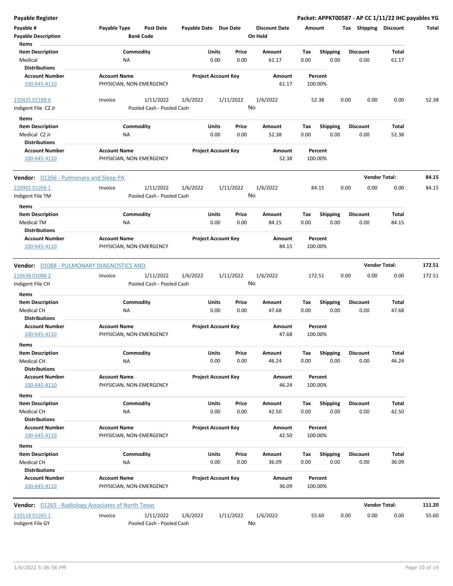| <b>Payable Register</b>                       |                                                            |                            |           |                                 |         |                 | Packet: APPKT00587 - AP CC 1/11/22 IHC payables YG |                      |        |
|-----------------------------------------------|------------------------------------------------------------|----------------------------|-----------|---------------------------------|---------|-----------------|----------------------------------------------------|----------------------|--------|
| Payable #<br><b>Payable Description</b>       | Payable Type<br><b>Post Date</b><br><b>Bank Code</b>       | Payable Date Due Date      |           | <b>Discount Date</b><br>On Hold | Amount  |                 | Tax Shipping Discount                              |                      | Total  |
| Items                                         |                                                            |                            |           |                                 |         |                 |                                                    |                      |        |
| <b>Item Description</b>                       | Commodity                                                  | Units                      | Price     | Amount                          | Tax     | <b>Shipping</b> | <b>Discount</b>                                    | Total                |        |
| Medical                                       | NA                                                         | 0.00                       | 0.00      | 61.17                           | 0.00    | 0.00            | 0.00                                               | 61.17                |        |
| <b>Distributions</b>                          |                                                            |                            |           |                                 |         |                 |                                                    |                      |        |
| <b>Account Number</b>                         | <b>Account Name</b>                                        | <b>Project Account Key</b> |           | Amount                          |         | Percent         |                                                    |                      |        |
| 100-645-4110                                  | PHYSICIAN, NON-EMERGENCY                                   |                            |           | 61.17                           | 100.00% |                 |                                                    |                      |        |
| 210425 01188 6                                | 1/11/2022<br>Invoice                                       | 1/6/2022                   | 1/11/2022 | 1/6/2022                        |         | 52.38           | 0.00<br>0.00                                       | 0.00                 | 52.38  |
| Indigent File CZ Jr                           | Pooled Cash - Pooled Cash                                  |                            |           | No                              |         |                 |                                                    |                      |        |
| Items                                         |                                                            |                            |           |                                 |         |                 |                                                    |                      |        |
| <b>Item Description</b>                       | Commodity                                                  | Units                      | Price     | Amount                          | Tax     | <b>Shipping</b> | <b>Discount</b>                                    | Total                |        |
| Medical CZ Jr                                 | ΝA                                                         | 0.00                       | 0.00      | 52.38                           | 0.00    | 0.00            | 0.00                                               | 52.38                |        |
| <b>Distributions</b>                          |                                                            |                            |           |                                 |         |                 |                                                    |                      |        |
| <b>Account Number</b>                         | <b>Account Name</b>                                        | <b>Project Account Key</b> |           | Amount                          |         | Percent         |                                                    |                      |        |
| 100-645-4110                                  | PHYSICIAN, NON-EMERGENCY                                   |                            |           | 52.38                           | 100.00% |                 |                                                    |                      |        |
| <b>Vendor:</b> 01266 - Pulmonary and Sleep PA |                                                            |                            |           |                                 |         |                 |                                                    | <b>Vendor Total:</b> | 84.15  |
| 220901 01266 1                                | 1/11/2022<br>Invoice                                       | 1/6/2022                   | 1/11/2022 | 1/6/2022                        |         | 84.15           | 0.00<br>0.00                                       | 0.00                 | 84.15  |
| Indigent File TM                              | Pooled Cash - Pooled Cash                                  |                            |           | No                              |         |                 |                                                    |                      |        |
| <b>Items</b>                                  |                                                            |                            |           |                                 |         |                 |                                                    |                      |        |
| <b>Item Description</b>                       | Commodity                                                  | Units                      | Price     | Amount                          | Tax     | <b>Shipping</b> | <b>Discount</b>                                    | Total                |        |
| Medical TM                                    | ΝA                                                         | 0.00                       | 0.00      | 84.15                           | 0.00    | 0.00            | 0.00                                               | 84.15                |        |
| <b>Distributions</b>                          |                                                            |                            |           |                                 |         |                 |                                                    |                      |        |
| <b>Account Number</b>                         | <b>Account Name</b>                                        | <b>Project Account Key</b> |           | Amount                          |         | Percent         |                                                    |                      |        |
| 100-645-4110                                  | PHYSICIAN, NON-EMERGENCY                                   |                            |           | 84.15                           | 100.00% |                 |                                                    |                      |        |
| Vendor: 01088 - PULMONARY DIAGNOSTICS AND     |                                                            |                            |           |                                 |         |                 |                                                    | <b>Vendor Total:</b> | 172.51 |
| 210638 01088 2                                | 1/11/2022<br>Invoice                                       | 1/6/2022                   | 1/11/2022 | 1/6/2022                        | 172.51  |                 | 0.00<br>0.00                                       | 0.00                 | 172.51 |
| Indigent File CH                              | Pooled Cash - Pooled Cash                                  |                            |           | No                              |         |                 |                                                    |                      |        |
|                                               |                                                            |                            |           |                                 |         |                 |                                                    |                      |        |
| Items                                         |                                                            |                            |           |                                 |         |                 |                                                    |                      |        |
| <b>Item Description</b>                       | Commodity                                                  | Units                      | Price     | Amount                          | Tax     | <b>Shipping</b> | Discount                                           | Total                |        |
| Medical CH                                    | NA                                                         | 0.00                       | 0.00      | 47.68                           | 0.00    | 0.00            | 0.00                                               | 47.68                |        |
| <b>Distributions</b>                          |                                                            |                            |           |                                 |         |                 |                                                    |                      |        |
| <b>Account Number</b><br>100-645-4110         | <b>Account Name</b><br>PHYSICIAN, NON-EMERGENCY            | <b>Project Account Key</b> |           | Amount<br>47.68                 | 100.00% | Percent         |                                                    |                      |        |
| Items                                         |                                                            |                            |           |                                 |         |                 |                                                    |                      |        |
| <b>Item Description</b>                       | Commodity                                                  | Units                      | Price     | Amount                          | Tax     | Shipping        | <b>Discount</b>                                    | Total                |        |
| Medical CH                                    | NA                                                         | 0.00                       | 0.00      | 46.24                           | 0.00    | 0.00            | 0.00                                               | 46.24                |        |
| <b>Distributions</b>                          |                                                            |                            |           |                                 |         |                 |                                                    |                      |        |
| <b>Account Number</b>                         | <b>Account Name</b>                                        | <b>Project Account Key</b> |           | Amount                          |         | Percent         |                                                    |                      |        |
| 100-645-4110                                  | PHYSICIAN, NON-EMERGENCY                                   |                            |           | 46.24                           | 100.00% |                 |                                                    |                      |        |
| Items                                         |                                                            |                            |           |                                 |         |                 |                                                    |                      |        |
| <b>Item Description</b>                       | Commodity                                                  | Units                      | Price     | Amount                          | Tax     | <b>Shipping</b> | <b>Discount</b>                                    | Total                |        |
| Medical CH                                    | ΝA                                                         | 0.00                       | 0.00      | 42.50                           | 0.00    | 0.00            | 0.00                                               | 42.50                |        |
| <b>Distributions</b>                          |                                                            |                            |           |                                 |         |                 |                                                    |                      |        |
| <b>Account Number</b>                         | <b>Account Name</b>                                        | <b>Project Account Key</b> |           | Amount                          |         | Percent         |                                                    |                      |        |
| 100-645-4110                                  | PHYSICIAN, NON-EMERGENCY                                   |                            |           | 42.50                           | 100.00% |                 |                                                    |                      |        |
| Items                                         |                                                            |                            |           |                                 |         |                 |                                                    |                      |        |
| <b>Item Description</b>                       | Commodity                                                  | Units                      | Price     | Amount                          | Tax     | Shipping        | Discount                                           | Total                |        |
| Medical CH                                    | ΝA                                                         | 0.00                       | 0.00      | 36.09                           | 0.00    | 0.00            | 0.00                                               | 36.09                |        |
| <b>Distributions</b>                          |                                                            |                            |           |                                 |         |                 |                                                    |                      |        |
| <b>Account Number</b>                         | <b>Account Name</b>                                        | <b>Project Account Key</b> |           | Amount                          |         | Percent         |                                                    |                      |        |
| 100-645-4110                                  | PHYSICIAN, NON-EMERGENCY                                   |                            |           | 36.09                           | 100.00% |                 |                                                    |                      |        |
|                                               |                                                            |                            |           |                                 |         |                 |                                                    |                      |        |
|                                               | <b>Vendor:</b> 01265 - Radiology Associates of North Texas |                            |           |                                 |         |                 |                                                    | <b>Vendor Total:</b> | 111.20 |
| 210118 01265 1                                | Invoice<br>1/11/2022                                       | 1/6/2022                   | 1/11/2022 | 1/6/2022                        |         | 55.60           | 0.00<br>0.00                                       | 0.00                 | 55.60  |
| Indigent File GY                              | Pooled Cash - Pooled Cash                                  |                            |           | No                              |         |                 |                                                    |                      |        |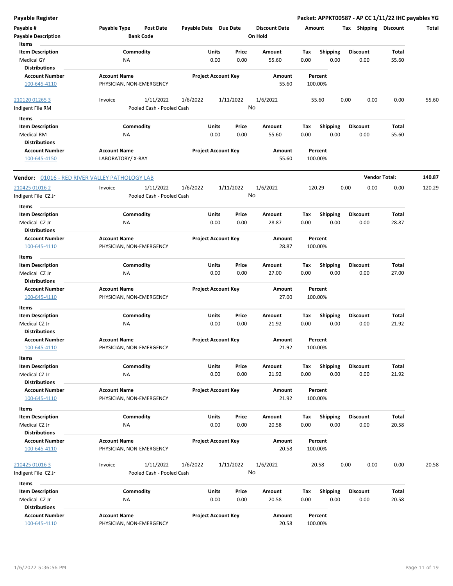**Payable # Payable Type Post Date Payable Date Due Date Payable Description Bank Code Discount Date Amount Tax Shipping Discount Total On Hold** 0.00 0.00 **Units** Medical GY NA 0.00 0.00 55.60 0.00 **Item Description** 55.60 **Price Amount Tax** 0.00 55.60 Commodity **Shipping Shipping Commodity Shipping Discount** Total NA **Items** 0.00 **Discount Account Number Account Name Project Account Key Amount Distributions Percent** 100-645-4110 PHYSICIAN, NON-EMERGENCY 55.60 100.00% 1/11/2022 1/6/2022 1/11/2022 Indigent File RM Pooled Cash - Pooled Cash 210120 01265 3 Invoice 1/6/2022 55.60 0.00 0.00 0.00 55.60 No 0.00 0.00 **Units** Medical RM 0.00 **Item Description** 55.60 **Price Amount Tax** 0.00 55.60 Commodity **Shipping Shipping Commodity Shipping Discount** Total NA **Items** 0.00 **Discount Account Number Account Name Project Account Key Amount Distributions Percent** 100-645-4150 LABORATORY/ X-RAY 55.60 100.00% **Vendor:** 01016 - RED RIVER VALLEY PATHOLOGY LAB **Vendor Total: 140.87** 1/11/2022 1/6/2022 1/11/2022 Indigent File CZ Jr Pooled Cash - Pooled Cash - Pooled Cash  $\frac{210425\,01016\,2}{2}$  lnvoice 1/11/2022 1/6/2022 1/6/2022 120.29 0.00 0.00 120.29 No 0.00 0.00 **Units** Medical CZ Jr 0.00 **Item Description** 28.87 **Price Amount Tax** 0.00 28.87 Commodity **Shipping Example 1 Commodity Shipping Discount** Total NA **Items** 0.00 **Discount Account Number Account Name Project Account Key Amount Distributions Percent** 100-645-4110 PHYSICIAN, NON-EMERGENCY 28.87 100.00% 0.00 0.00 **Units** Medical CZ Jr 0.00 **Item Description** 27.00 **Price Amount Tax** 0.00 27.00 Commodity **Shipping Shipping Commodity Shipping Discount** Total NA **Items** 0.00 **Discount Account Number Account Name Project Account Key Amount Distributions Percent** 100-645-4110 PHYSICIAN, NON-EMERGENCY 27.00 100.00% 0.00 0.00 **Units** Medical CZ Jr 0.00 **Item Description** 21.92 **Price Amount Tax** 0.00 21.92 Commodity **Shipping Example 1 Commodity Shipping Discount** Total NA **Items** 0.00 **Discount Account Number Account Name Project Account Key Amount Distributions Percent** 100-645-4110 PHYSICIAN, NON-EMERGENCY 21.92 100.00% 0.00 0.00 **Units** Medical CZ Jr 0.00 **Item Description** 21.92 **Price Amount Tax** 0.00 21.92 Commodity **Shipping Shipping Commodity Shipping Discount** Total NA **Items** 0.00 **Discount Account Number Account Name Project Account Key Amount Distributions Percent** 100-645-4110 PHYSICIAN, NON-EMERGENCY 21.92 100.00% 0.00 0.00 **Units** Medical CZ Jr 0.00 **Item Description** 20.58 **Price Amount Tax** 0.00 20.58 Commodity **Shipping Example 1 Commodity Shipping Discount** Total NA **Items** 0.00 **Discount Account Number Account Name Project Account Key Amount Distributions Percent** 100-645-4110 PHYSICIAN, NON-EMERGENCY 20.58 100.00% 1/11/2022 1/6/2022 1/11/2022 Indigent File CZ Jr **Pooled Cash - Pooled Cash**  $\frac{210425\,01016\,3}{20.58}$  Invoice  $\frac{1}{11}/\frac{2022}{20.58}$   $\frac{1}{11}/2022$   $\frac{1}{16}/2022$   $\frac{1}{6}/2022$   $\frac{20.58}{20.58}$  0.00 0.00 0.00 20.58 No 0.00 0.00 **Units** Medical CZ Jr 0.00 **Item Description** 20.58 **Price Amount Tax** 0.00 20.58 Commodity **Shipping Shipping Commodity Shipping Discount** Total NA **Items** 0.00 **Discount Account Number Account Name Project Account Key Amount Distributions Percent** 100-645-4110 PHYSICIAN, NON-EMERGENCY 20.58 100.00%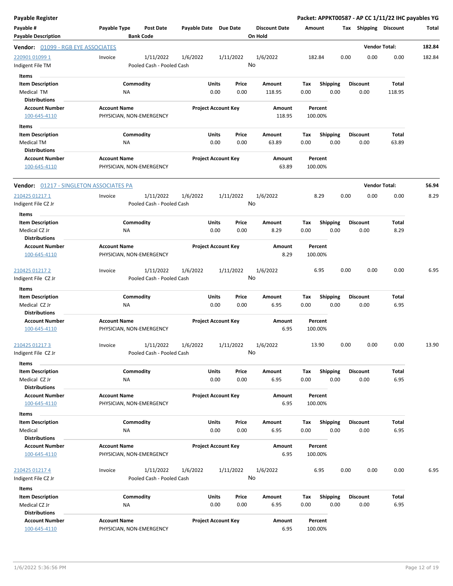| <b>Payable Register</b>                                       |                                                      |                       |                                |                                 |                    |                         | Packet: APPKT00587 - AP CC 1/11/22 IHC payables YG |                      |        |
|---------------------------------------------------------------|------------------------------------------------------|-----------------------|--------------------------------|---------------------------------|--------------------|-------------------------|----------------------------------------------------|----------------------|--------|
| Payable #<br><b>Payable Description</b>                       | Payable Type<br><b>Post Date</b><br><b>Bank Code</b> | Payable Date Due Date |                                | <b>Discount Date</b><br>On Hold | Amount             |                         | Tax Shipping Discount                              |                      | Total  |
| Vendor: 01099 - RGB EYE ASSOCIATES                            |                                                      |                       |                                |                                 |                    |                         |                                                    | <b>Vendor Total:</b> | 182.84 |
| 220901 01099 1<br>Indigent File TM                            | 1/11/2022<br>Invoice<br>Pooled Cash - Pooled Cash    | 1/6/2022              | 1/11/2022                      | 1/6/2022<br>No                  | 182.84             |                         | 0.00<br>0.00                                       | 0.00                 | 182.84 |
| Items                                                         |                                                      |                       |                                |                                 |                    |                         |                                                    |                      |        |
| <b>Item Description</b><br>Medical TM<br><b>Distributions</b> | Commodity<br>ΝA                                      |                       | Units<br>Price<br>0.00<br>0.00 | Amount<br>118.95                | Tax<br>0.00        | <b>Shipping</b><br>0.00 | <b>Discount</b><br>0.00                            | Total<br>118.95      |        |
| <b>Account Number</b>                                         | <b>Account Name</b>                                  |                       | <b>Project Account Key</b>     | Amount                          | Percent            |                         |                                                    |                      |        |
| 100-645-4110                                                  | PHYSICIAN, NON-EMERGENCY                             |                       |                                | 118.95                          | 100.00%            |                         |                                                    |                      |        |
| Items                                                         |                                                      |                       |                                |                                 |                    |                         |                                                    |                      |        |
| <b>Item Description</b>                                       | Commodity                                            |                       | Units<br>Price                 | Amount                          | Tax                | <b>Shipping</b>         | <b>Discount</b>                                    | Total                |        |
| Medical TM                                                    | ΝA                                                   |                       | 0.00<br>0.00                   | 63.89                           | 0.00               | 0.00                    | 0.00                                               | 63.89                |        |
| <b>Distributions</b><br><b>Account Number</b><br>100-645-4110 | <b>Account Name</b><br>PHYSICIAN, NON-EMERGENCY      |                       | <b>Project Account Key</b>     | Amount<br>63.89                 | Percent<br>100.00% |                         |                                                    |                      |        |
| <b>Vendor: 01217 - SINGLETON ASSOCIATES PA</b>                |                                                      |                       |                                |                                 |                    |                         |                                                    | <b>Vendor Total:</b> | 56.94  |
| 210425 01217 1                                                | 1/11/2022<br>Invoice                                 | 1/6/2022              | 1/11/2022                      | 1/6/2022                        | 8.29               |                         | 0.00<br>0.00                                       | 0.00                 | 8.29   |
| Indigent File CZ Jr                                           | Pooled Cash - Pooled Cash                            |                       |                                | No                              |                    |                         |                                                    |                      |        |
| Items<br><b>Item Description</b>                              | Commodity                                            |                       | Units<br>Price                 | Amount                          | Tax                | <b>Shipping</b>         | <b>Discount</b>                                    | Total                |        |
| Medical CZ Jr<br><b>Distributions</b>                         | <b>NA</b>                                            |                       | 0.00<br>0.00                   | 8.29                            | 0.00               | 0.00                    | 0.00                                               | 8.29                 |        |
| <b>Account Number</b>                                         | <b>Account Name</b>                                  |                       | <b>Project Account Key</b>     | Amount                          | Percent            |                         |                                                    |                      |        |
| 100-645-4110                                                  | PHYSICIAN, NON-EMERGENCY                             |                       |                                | 8.29                            | 100.00%            |                         |                                                    |                      |        |
| 210425 01217 2<br>Indigent File CZ Jr                         | 1/11/2022<br>Invoice<br>Pooled Cash - Pooled Cash    | 1/6/2022              | 1/11/2022                      | 1/6/2022<br>No                  | 6.95               |                         | 0.00<br>0.00                                       | 0.00                 | 6.95   |
| Items                                                         |                                                      |                       |                                |                                 |                    |                         |                                                    |                      |        |
| <b>Item Description</b>                                       | Commodity                                            |                       | Units<br>Price                 | Amount                          | Tax                | <b>Shipping</b>         | <b>Discount</b>                                    | Total                |        |
| Medical CZ Jr<br><b>Distributions</b>                         | ΝA                                                   |                       | 0.00<br>0.00                   | 6.95                            | 0.00               | 0.00                    | 0.00                                               | 6.95                 |        |
| <b>Account Number</b><br>100-645-4110                         | <b>Account Name</b><br>PHYSICIAN, NON-EMERGENCY      |                       | <b>Project Account Key</b>     | Amount<br>6.95                  | Percent<br>100.00% |                         |                                                    |                      |        |
| 210425 01217 3<br>Indigent File CZ Jr                         | 1/11/2022<br>Invoice<br>Pooled Cash - Pooled Cash    | 1/6/2022              | 1/11/2022                      | 1/6/2022<br>No                  | 13.90              |                         | 0.00<br>0.00                                       | 0.00                 | 13.90  |
| Items                                                         |                                                      |                       |                                |                                 |                    |                         |                                                    |                      |        |
| <b>Item Description</b>                                       | Commodity                                            |                       | <b>Units</b><br>Price          | Amount                          | Tax                | <b>Shipping</b>         | <b>Discount</b>                                    | Total                |        |
| Medical CZ Jr<br><b>Distributions</b>                         | NA                                                   |                       | 0.00<br>0.00                   | 6.95                            | 0.00               | 0.00                    | 0.00                                               | 6.95                 |        |
| <b>Account Number</b><br>100-645-4110                         | <b>Account Name</b><br>PHYSICIAN, NON-EMERGENCY      |                       | <b>Project Account Key</b>     | Amount<br>6.95                  | Percent<br>100.00% |                         |                                                    |                      |        |
| Items                                                         |                                                      |                       |                                |                                 |                    |                         |                                                    |                      |        |
| <b>Item Description</b>                                       | Commodity                                            |                       | <b>Units</b><br>Price          | Amount                          | Tax                | Shipping                | <b>Discount</b>                                    | Total                |        |
| Medical<br><b>Distributions</b>                               | NA                                                   |                       | 0.00<br>0.00                   | 6.95                            | 0.00               | 0.00                    | 0.00                                               | 6.95                 |        |
| <b>Account Number</b>                                         | <b>Account Name</b>                                  |                       | <b>Project Account Key</b>     | Amount                          | Percent            |                         |                                                    |                      |        |
| 100-645-4110                                                  | PHYSICIAN, NON-EMERGENCY                             |                       |                                | 6.95                            | 100.00%            |                         |                                                    |                      |        |
| 210425 01217 4<br>Indigent File CZ Jr                         | 1/11/2022<br>Invoice<br>Pooled Cash - Pooled Cash    | 1/6/2022              | 1/11/2022                      | 1/6/2022<br>No                  | 6.95               |                         | 0.00<br>0.00                                       | 0.00                 | 6.95   |
| Items                                                         |                                                      |                       |                                |                                 |                    |                         |                                                    |                      |        |
| <b>Item Description</b>                                       | Commodity                                            |                       | Units<br>Price                 | Amount                          | Tax                | <b>Shipping</b>         | <b>Discount</b>                                    | Total                |        |
| Medical CZ Jr                                                 | NA                                                   |                       | 0.00<br>0.00                   | 6.95                            | 0.00               | 0.00                    | 0.00                                               | 6.95                 |        |
| <b>Distributions</b>                                          |                                                      |                       |                                |                                 |                    |                         |                                                    |                      |        |
| <b>Account Number</b><br>100-645-4110                         | <b>Account Name</b><br>PHYSICIAN, NON-EMERGENCY      |                       | <b>Project Account Key</b>     | Amount<br>6.95                  | Percent<br>100.00% |                         |                                                    |                      |        |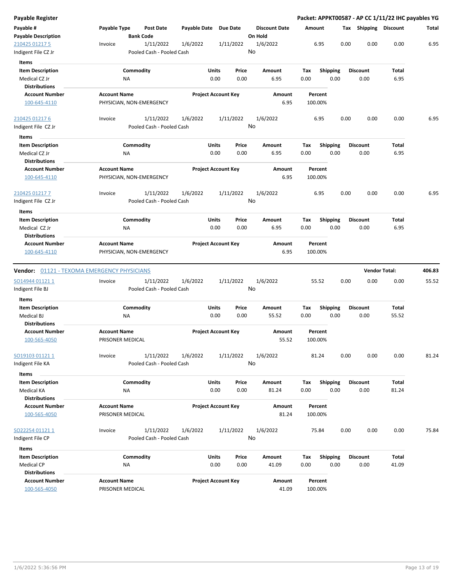| <b>Payable Register</b>                                          |                                  |                                                    |                                |                                 | Packet: APPKT00587 - AP CC 1/11/22 IHC payables YG |                         |                         |                       |        |
|------------------------------------------------------------------|----------------------------------|----------------------------------------------------|--------------------------------|---------------------------------|----------------------------------------------------|-------------------------|-------------------------|-----------------------|--------|
| Payable #<br><b>Payable Description</b>                          | Payable Type<br><b>Bank Code</b> | <b>Post Date</b><br>Payable Date                   | <b>Due Date</b>                | <b>Discount Date</b><br>On Hold | Amount                                             |                         |                         | Tax Shipping Discount | Total  |
| 210425 01217 5                                                   | Invoice                          | 1/11/2022<br>1/6/2022                              | 1/11/2022                      | 1/6/2022                        | 6.95                                               | 0.00                    | 0.00                    | 0.00                  | 6.95   |
| Indigent File CZ Jr                                              |                                  | Pooled Cash - Pooled Cash                          |                                | No                              |                                                    |                         |                         |                       |        |
| Items                                                            |                                  |                                                    |                                |                                 |                                                    |                         |                         |                       |        |
| <b>Item Description</b>                                          | Commodity                        |                                                    | Units<br>Price                 | Amount                          | Tax                                                | <b>Shipping</b>         | Discount                | Total                 |        |
| Medical CZ Jr                                                    | NA                               |                                                    | 0.00<br>0.00                   | 6.95                            | 0.00                                               | 0.00                    | 0.00                    | 6.95                  |        |
| <b>Distributions</b>                                             |                                  |                                                    |                                |                                 |                                                    |                         |                         |                       |        |
| <b>Account Number</b>                                            | <b>Account Name</b>              |                                                    | <b>Project Account Key</b>     | Amount                          | Percent                                            |                         |                         |                       |        |
| 100-645-4110                                                     | PHYSICIAN, NON-EMERGENCY         |                                                    |                                | 6.95                            | 100.00%                                            |                         |                         |                       |        |
| 210425 01217 6                                                   | Invoice                          | 1/11/2022<br>1/6/2022                              | 1/11/2022                      | 1/6/2022                        | 6.95                                               | 0.00                    | 0.00                    | 0.00                  | 6.95   |
| Indigent File CZ Jr                                              |                                  | Pooled Cash - Pooled Cash                          |                                | No                              |                                                    |                         |                         |                       |        |
| Items                                                            |                                  |                                                    |                                |                                 |                                                    |                         |                         |                       |        |
| <b>Item Description</b><br>Medical CZ Jr<br><b>Distributions</b> | Commodity<br>NA                  |                                                    | Units<br>Price<br>0.00<br>0.00 | Amount<br>6.95                  | Tax<br>0.00                                        | <b>Shipping</b><br>0.00 | <b>Discount</b><br>0.00 | Total<br>6.95         |        |
| <b>Account Number</b>                                            | <b>Account Name</b>              |                                                    | <b>Project Account Key</b>     | Amount                          | Percent                                            |                         |                         |                       |        |
| 100-645-4110                                                     | PHYSICIAN, NON-EMERGENCY         |                                                    |                                | 6.95                            | 100.00%                                            |                         |                         |                       |        |
| 210425 01217 7                                                   | Invoice                          | 1/11/2022<br>1/6/2022                              | 1/11/2022                      | 1/6/2022                        | 6.95                                               | 0.00                    | 0.00                    | 0.00                  | 6.95   |
| Indigent File CZ Jr                                              |                                  | Pooled Cash - Pooled Cash                          |                                | No                              |                                                    |                         |                         |                       |        |
| Items                                                            |                                  |                                                    |                                |                                 |                                                    |                         |                         |                       |        |
| <b>Item Description</b>                                          | Commodity                        |                                                    | Units<br>Price                 | <b>Amount</b>                   | Tax                                                | <b>Shipping</b>         | <b>Discount</b>         | Total                 |        |
| Medical CZ Jr                                                    | ΝA                               |                                                    | 0.00<br>0.00                   | 6.95                            | 0.00                                               | 0.00                    | 0.00                    | 6.95                  |        |
| <b>Distributions</b>                                             |                                  |                                                    |                                |                                 |                                                    |                         |                         |                       |        |
| <b>Account Number</b>                                            | <b>Account Name</b>              |                                                    | <b>Project Account Key</b>     | Amount                          | Percent                                            |                         |                         |                       |        |
| 100-645-4110                                                     | PHYSICIAN, NON-EMERGENCY         |                                                    |                                | 6.95                            | 100.00%                                            |                         |                         |                       |        |
|                                                                  |                                  |                                                    |                                |                                 |                                                    |                         |                         |                       |        |
| <b>Vendor:</b> 01121 - TEXOMA EMERGENCY PHYSICIANS               |                                  |                                                    |                                |                                 |                                                    |                         |                         | <b>Vendor Total:</b>  | 406.83 |
| SO14944 01121 1<br>Indigent File BJ                              | Invoice                          | 1/11/2022<br>1/6/2022<br>Pooled Cash - Pooled Cash | 1/11/2022                      | 1/6/2022<br>No                  | 55.52                                              | 0.00                    | 0.00                    | 0.00                  | 55.52  |
| Items                                                            |                                  |                                                    |                                |                                 |                                                    |                         |                         |                       |        |
| <b>Item Description</b>                                          | Commodity                        |                                                    | Units<br>Price                 | Amount                          | Tax                                                | <b>Shipping</b>         | <b>Discount</b>         | Total                 |        |
| Medical BJ                                                       | ΝA                               |                                                    | 0.00<br>0.00                   | 55.52                           | 0.00                                               | 0.00                    | 0.00                    | 55.52                 |        |
| <b>Distributions</b>                                             |                                  |                                                    |                                |                                 |                                                    |                         |                         |                       |        |
| <b>Account Number</b>                                            | <b>Account Name</b>              |                                                    | <b>Project Account Key</b>     | Amount                          | Percent                                            |                         |                         |                       |        |
| 100-565-4050                                                     | PRISONER MEDICAL                 |                                                    |                                | 55.52                           | 100.00%                                            |                         |                         |                       |        |
| SO19103 01121 1                                                  | Invoice                          | 1/11/2022<br>1/6/2022                              | 1/11/2022                      | 1/6/2022                        | 81.24                                              | 0.00                    | 0.00                    | 0.00                  | 81.24  |
| Indigent File KA                                                 |                                  | Pooled Cash - Pooled Cash                          |                                | No                              |                                                    |                         |                         |                       |        |
| Items                                                            |                                  |                                                    |                                |                                 |                                                    |                         |                         |                       |        |
| <b>Item Description</b>                                          | Commodity                        |                                                    | Units<br>Price                 | Amount                          | Tax                                                | <b>Shipping</b>         | Discount                | Total                 |        |
| Medical KA                                                       | NA                               |                                                    | 0.00<br>0.00                   | 81.24                           | 0.00                                               | 0.00                    | 0.00                    | 81.24                 |        |
| <b>Distributions</b>                                             |                                  |                                                    |                                |                                 |                                                    |                         |                         |                       |        |
| <b>Account Number</b>                                            | <b>Account Name</b>              |                                                    | <b>Project Account Key</b>     | Amount                          | Percent                                            |                         |                         |                       |        |
| 100-565-4050                                                     | PRISONER MEDICAL                 |                                                    |                                | 81.24                           | 100.00%                                            |                         |                         |                       |        |
| SO22254 01121 1                                                  | Invoice                          | 1/11/2022<br>1/6/2022                              | 1/11/2022                      | 1/6/2022                        | 75.84                                              | 0.00                    | 0.00                    | 0.00                  | 75.84  |
| Indigent File CP                                                 |                                  | Pooled Cash - Pooled Cash                          |                                | No                              |                                                    |                         |                         |                       |        |
| Items                                                            |                                  |                                                    |                                |                                 |                                                    |                         |                         |                       |        |
| <b>Item Description</b>                                          | Commodity                        |                                                    | Units<br>Price                 | Amount                          | Tax                                                | <b>Shipping</b>         | Discount                | Total                 |        |
| Medical CP                                                       | NA                               |                                                    | 0.00<br>0.00                   | 41.09                           | 0.00                                               | 0.00                    | 0.00                    | 41.09                 |        |
| <b>Distributions</b>                                             |                                  |                                                    |                                |                                 |                                                    |                         |                         |                       |        |
| <b>Account Number</b>                                            | <b>Account Name</b>              |                                                    | <b>Project Account Key</b>     | Amount                          | Percent                                            |                         |                         |                       |        |
| 100-565-4050                                                     | PRISONER MEDICAL                 |                                                    |                                | 41.09                           | 100.00%                                            |                         |                         |                       |        |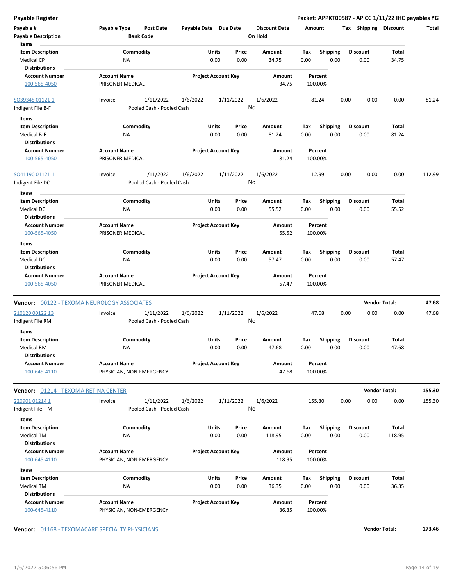| <b>Payable Register</b>                     |                                             |                       |                            |                      |         |                 | Packet: APPKT00587 - AP CC 1/11/22 IHC payables YG |                      |        |
|---------------------------------------------|---------------------------------------------|-----------------------|----------------------------|----------------------|---------|-----------------|----------------------------------------------------|----------------------|--------|
| Payable #                                   | Payable Type<br><b>Post Date</b>            | Payable Date Due Date |                            | <b>Discount Date</b> | Amount  |                 | Tax Shipping Discount                              |                      | Total  |
| <b>Payable Description</b>                  | <b>Bank Code</b>                            |                       |                            | On Hold              |         |                 |                                                    |                      |        |
| Items                                       |                                             |                       |                            |                      |         |                 |                                                    |                      |        |
| <b>Item Description</b>                     | Commodity                                   |                       | Units<br>Price             | Amount               | Tax     | <b>Shipping</b> | <b>Discount</b>                                    | Total                |        |
| <b>Medical CP</b>                           | <b>NA</b>                                   |                       | 0.00<br>0.00               | 34.75                | 0.00    | 0.00            | 0.00                                               | 34.75                |        |
| <b>Distributions</b>                        |                                             |                       |                            |                      |         |                 |                                                    |                      |        |
| <b>Account Number</b>                       | <b>Account Name</b>                         |                       | <b>Project Account Key</b> | Amount               | Percent |                 |                                                    |                      |        |
| 100-565-4050                                | PRISONER MEDICAL                            |                       |                            | 34.75                | 100.00% |                 |                                                    |                      |        |
|                                             |                                             |                       |                            |                      |         |                 |                                                    |                      |        |
| SO39345 01121 1                             | 1/11/2022<br>Invoice                        | 1/6/2022              | 1/11/2022                  | 1/6/2022             | 81.24   |                 | 0.00<br>0.00                                       | 0.00                 | 81.24  |
| Indigent File B-F                           | Pooled Cash - Pooled Cash                   |                       |                            | No                   |         |                 |                                                    |                      |        |
| Items                                       |                                             |                       |                            |                      |         |                 |                                                    |                      |        |
|                                             |                                             |                       |                            |                      |         |                 |                                                    |                      |        |
| <b>Item Description</b>                     | Commodity                                   |                       | Units<br>Price             | Amount               | Tax     | <b>Shipping</b> | <b>Discount</b>                                    | Total                |        |
| Medical B-F<br><b>Distributions</b>         | ΝA                                          |                       | 0.00<br>0.00               | 81.24                | 0.00    | 0.00            | 0.00                                               | 81.24                |        |
|                                             |                                             |                       |                            |                      |         |                 |                                                    |                      |        |
| <b>Account Number</b>                       | <b>Account Name</b>                         |                       | <b>Project Account Key</b> | Amount               | Percent |                 |                                                    |                      |        |
| 100-565-4050                                | PRISONER MEDICAL                            |                       |                            | 81.24                | 100.00% |                 |                                                    |                      |        |
|                                             |                                             |                       |                            |                      |         |                 |                                                    |                      |        |
| SO41190 01121 1                             | 1/11/2022<br>Invoice                        | 1/6/2022              | 1/11/2022                  | 1/6/2022<br>No       | 112.99  |                 | 0.00<br>0.00                                       | 0.00                 | 112.99 |
| Indigent File DC                            | Pooled Cash - Pooled Cash                   |                       |                            |                      |         |                 |                                                    |                      |        |
| Items                                       |                                             |                       |                            |                      |         |                 |                                                    |                      |        |
| <b>Item Description</b>                     | Commodity                                   |                       | Units<br>Price             | Amount               | Tax     | <b>Shipping</b> | <b>Discount</b>                                    | Total                |        |
| Medical DC                                  | NA                                          |                       | 0.00<br>0.00               | 55.52                | 0.00    | 0.00            | 0.00                                               | 55.52                |        |
| <b>Distributions</b>                        |                                             |                       |                            |                      |         |                 |                                                    |                      |        |
| <b>Account Number</b>                       | <b>Account Name</b>                         |                       | <b>Project Account Key</b> | Amount               | Percent |                 |                                                    |                      |        |
| 100-565-4050                                | PRISONER MEDICAL                            |                       |                            | 55.52                | 100.00% |                 |                                                    |                      |        |
| Items                                       |                                             |                       |                            |                      |         |                 |                                                    |                      |        |
| <b>Item Description</b>                     | Commodity                                   |                       | Units<br>Price             | Amount               | Tax     | Shipping        | <b>Discount</b>                                    | Total                |        |
| Medical DC                                  | NA                                          |                       | 0.00<br>0.00               | 57.47                | 0.00    | 0.00            | 0.00                                               | 57.47                |        |
| <b>Distributions</b>                        |                                             |                       |                            |                      |         |                 |                                                    |                      |        |
| <b>Account Number</b>                       | <b>Account Name</b>                         |                       | <b>Project Account Key</b> | Amount               | Percent |                 |                                                    |                      |        |
| 100-565-4050                                | PRISONER MEDICAL                            |                       |                            | 57.47                | 100.00% |                 |                                                    |                      |        |
|                                             |                                             |                       |                            |                      |         |                 |                                                    |                      |        |
|                                             | Vendor: 00122 - TEXOMA NEUROLOGY ASSOCIATES |                       |                            |                      |         |                 |                                                    | <b>Vendor Total:</b> | 47.68  |
| 210120 00122 13                             | 1/11/2022<br>Invoice                        | 1/6/2022              | 1/11/2022                  | 1/6/2022             | 47.68   |                 | 0.00<br>0.00                                       | 0.00                 | 47.68  |
| Indigent File RM                            | Pooled Cash - Pooled Cash                   |                       |                            | No                   |         |                 |                                                    |                      |        |
| <b>Items</b>                                |                                             |                       |                            |                      |         |                 |                                                    |                      |        |
| <b>Item Description</b>                     | Commodity                                   |                       | Units<br>Price             | Amount               | Тах     | <b>Shipping</b> | <b>Discount</b>                                    | Total                |        |
| Medical RM                                  | ΝA                                          |                       | 0.00<br>0.00               | 47.68                | 0.00    | 0.00            | 0.00                                               | 47.68                |        |
| <b>Distributions</b>                        |                                             |                       |                            |                      |         |                 |                                                    |                      |        |
| <b>Account Number</b>                       | <b>Account Name</b>                         |                       | <b>Project Account Key</b> | Amount               | Percent |                 |                                                    |                      |        |
| 100-645-4110                                | PHYSICIAN, NON-EMERGENCY                    |                       |                            | 47.68                | 100.00% |                 |                                                    |                      |        |
|                                             |                                             |                       |                            |                      |         |                 |                                                    |                      |        |
| <b>Vendor: 01214 - TEXOMA RETINA CENTER</b> |                                             |                       |                            |                      |         |                 |                                                    | <b>Vendor Total:</b> | 155.30 |
|                                             |                                             |                       |                            |                      |         |                 |                                                    |                      |        |
| 220901 01214 1                              | 1/11/2022<br>Invoice                        | 1/6/2022              | 1/11/2022                  | 1/6/2022<br>No       | 155.30  |                 | 0.00<br>0.00                                       | 0.00                 | 155.30 |
| Indigent File TM                            | Pooled Cash - Pooled Cash                   |                       |                            |                      |         |                 |                                                    |                      |        |
| Items                                       |                                             |                       |                            |                      |         |                 |                                                    |                      |        |
| <b>Item Description</b>                     | Commodity                                   |                       | Units<br>Price             | Amount               | Tax     | <b>Shipping</b> | <b>Discount</b>                                    | Total                |        |
| <b>Medical TM</b>                           | NA                                          |                       | 0.00<br>0.00               | 118.95               | 0.00    | 0.00            | 0.00                                               | 118.95               |        |
| <b>Distributions</b>                        |                                             |                       |                            |                      |         |                 |                                                    |                      |        |
| <b>Account Number</b>                       | <b>Account Name</b>                         |                       | <b>Project Account Key</b> | Amount               | Percent |                 |                                                    |                      |        |
| 100-645-4110                                | PHYSICIAN, NON-EMERGENCY                    |                       |                            | 118.95               | 100.00% |                 |                                                    |                      |        |
| Items                                       |                                             |                       |                            |                      |         |                 |                                                    |                      |        |
| <b>Item Description</b>                     | Commodity                                   |                       | Units<br>Price             | Amount               | Tax     | <b>Shipping</b> | <b>Discount</b>                                    | Total                |        |
| Medical TM                                  | NA                                          |                       | 0.00<br>0.00               | 36.35                | 0.00    | 0.00            | 0.00                                               | 36.35                |        |
| <b>Distributions</b>                        |                                             |                       |                            |                      |         |                 |                                                    |                      |        |
| <b>Account Number</b>                       | <b>Account Name</b>                         |                       | <b>Project Account Key</b> | Amount               | Percent |                 |                                                    |                      |        |
| 100-645-4110                                | PHYSICIAN, NON-EMERGENCY                    |                       |                            | 36.35                | 100.00% |                 |                                                    |                      |        |

**Vendor:**  $\underline{01168}$  - TEXOMACARE SPECIALTY PHYSICIANS **173.46**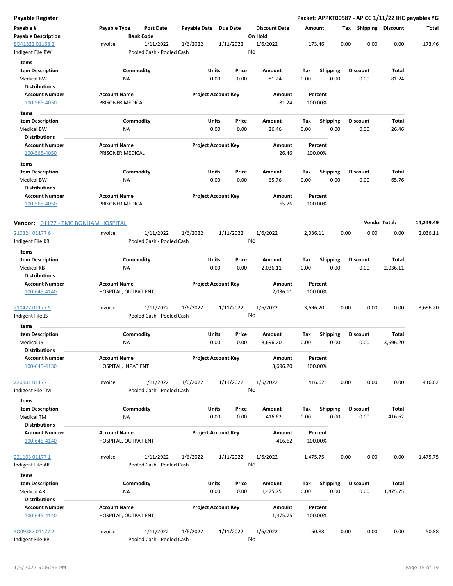| Payable Register                          |                                         |                                      |                       |                            |                                 |          |                    |      |                       |                      | Packet: APPKT00587 - AP CC 1/11/22 IHC payables YG |
|-------------------------------------------|-----------------------------------------|--------------------------------------|-----------------------|----------------------------|---------------------------------|----------|--------------------|------|-----------------------|----------------------|----------------------------------------------------|
| Payable #<br><b>Payable Description</b>   | Payable Type                            | <b>Post Date</b><br><b>Bank Code</b> | Payable Date Due Date |                            | <b>Discount Date</b><br>On Hold | Amount   |                    |      | Tax Shipping Discount |                      | Total                                              |
| SO41322 01168 2                           | Invoice                                 | 1/11/2022                            | 1/6/2022              | 1/11/2022                  | 1/6/2022                        |          | 173.46             | 0.00 | 0.00                  | 0.00                 | 173.46                                             |
| Indigent File BW                          |                                         | Pooled Cash - Pooled Cash            |                       |                            | No                              |          |                    |      |                       |                      |                                                    |
| Items                                     |                                         |                                      |                       |                            |                                 |          |                    |      |                       |                      |                                                    |
| <b>Item Description</b>                   |                                         | Commodity                            |                       | Units<br>Price             | Amount                          | Tax      | <b>Shipping</b>    |      | <b>Discount</b>       | Total                |                                                    |
| <b>Medical BW</b>                         | ΝA                                      |                                      |                       | 0.00<br>0.00               | 81.24                           | 0.00     | 0.00               |      | 0.00                  | 81.24                |                                                    |
| <b>Distributions</b>                      |                                         |                                      |                       |                            |                                 |          |                    |      |                       |                      |                                                    |
| <b>Account Number</b>                     | <b>Account Name</b>                     |                                      |                       | <b>Project Account Key</b> | Amount                          |          | Percent            |      |                       |                      |                                                    |
| 100-565-4050                              | PRISONER MEDICAL                        |                                      |                       |                            | 81.24                           |          | 100.00%            |      |                       |                      |                                                    |
| Items                                     |                                         |                                      |                       |                            |                                 |          |                    |      |                       |                      |                                                    |
| <b>Item Description</b>                   |                                         | Commodity                            |                       | Units<br>Price             | Amount                          | Tax      | <b>Shipping</b>    |      | <b>Discount</b>       | Total                |                                                    |
| <b>Medical BW</b>                         | ΝA                                      |                                      |                       | 0.00<br>0.00               | 26.46                           | 0.00     | 0.00               |      | 0.00                  | 26.46                |                                                    |
| <b>Distributions</b>                      |                                         |                                      |                       |                            |                                 |          |                    |      |                       |                      |                                                    |
| <b>Account Number</b>                     | <b>Account Name</b>                     |                                      |                       | <b>Project Account Key</b> | Amount                          |          | Percent            |      |                       |                      |                                                    |
| 100-565-4050                              | PRISONER MEDICAL                        |                                      |                       |                            | 26.46                           |          | 100.00%            |      |                       |                      |                                                    |
| Items                                     |                                         |                                      |                       |                            |                                 |          |                    |      |                       |                      |                                                    |
| <b>Item Description</b>                   |                                         | Commodity                            |                       | Units<br>Price             | Amount                          | Tax      | <b>Shipping</b>    |      | <b>Discount</b>       | Total                |                                                    |
| <b>Medical BW</b>                         | ΝA                                      |                                      |                       | 0.00<br>0.00               | 65.76                           | 0.00     | 0.00               |      | 0.00                  | 65.76                |                                                    |
| <b>Distributions</b>                      |                                         |                                      |                       |                            |                                 |          |                    |      |                       |                      |                                                    |
| <b>Account Number</b><br>100-565-4050     | <b>Account Name</b><br>PRISONER MEDICAL |                                      |                       | <b>Project Account Key</b> | Amount<br>65.76                 |          | Percent<br>100.00% |      |                       |                      |                                                    |
| Vendor: 01177 - TMC BONHAM HOSPITAL       |                                         |                                      |                       |                            |                                 |          |                    |      |                       | <b>Vendor Total:</b> | 14,249.49                                          |
| 210324 01177 6                            | Invoice                                 | 1/11/2022                            | 1/6/2022              | 1/11/2022                  | 1/6/2022                        | 2,036.11 |                    | 0.00 | 0.00                  | 0.00                 | 2,036.11                                           |
| Indigent File KB                          |                                         | Pooled Cash - Pooled Cash            |                       |                            | No                              |          |                    |      |                       |                      |                                                    |
| Items                                     |                                         |                                      |                       |                            |                                 |          |                    |      |                       |                      |                                                    |
| <b>Item Description</b>                   |                                         | Commodity                            |                       | Units<br>Price             | Amount                          | Tax      | <b>Shipping</b>    |      | <b>Discount</b>       | Total                |                                                    |
| <b>Medical KB</b><br><b>Distributions</b> | <b>NA</b>                               |                                      |                       | 0.00<br>0.00               | 2,036.11                        | 0.00     | 0.00               |      | 0.00                  | 2,036.11             |                                                    |
| <b>Account Number</b>                     | <b>Account Name</b>                     |                                      |                       | <b>Project Account Key</b> | Amount                          |          | Percent            |      |                       |                      |                                                    |
| 100-645-4140                              | HOSPITAL, OUTPATIENT                    |                                      |                       |                            | 2,036.11                        |          | 100.00%            |      |                       |                      |                                                    |
| 210427 01177 5                            | Invoice                                 | 1/11/2022                            | 1/6/2022              | 1/11/2022                  | 1/6/2022                        | 3,696.20 |                    | 0.00 | 0.00                  | 0.00                 | 3,696.20                                           |
| Indigent File JS                          |                                         | Pooled Cash - Pooled Cash            |                       |                            | No                              |          |                    |      |                       |                      |                                                    |
| Items                                     |                                         |                                      |                       |                            |                                 |          |                    |      |                       |                      |                                                    |
| <b>Item Description</b>                   |                                         | Commodity                            |                       | Units<br>Price             | Amount                          | Tax      | <b>Shipping</b>    |      | Discount              | <b>Total</b>         |                                                    |
| Medical JS                                | ΝA                                      |                                      |                       | 0.00<br>0.00               | 3,696.20                        | 0.00     | 0.00               |      | 0.00                  | 3,696.20             |                                                    |
| <b>Distributions</b>                      |                                         |                                      |                       |                            |                                 |          |                    |      |                       |                      |                                                    |
| <b>Account Number</b>                     | <b>Account Name</b>                     |                                      |                       | <b>Project Account Key</b> | Amount                          |          | Percent            |      |                       |                      |                                                    |
| 100-645-4130                              | HOSPITAL, INPATIENT                     |                                      |                       |                            | 3,696.20                        |          | 100.00%            |      |                       |                      |                                                    |
|                                           |                                         |                                      |                       |                            |                                 |          |                    |      |                       |                      |                                                    |
| 220901 01177 3                            | Invoice                                 | 1/11/2022                            | 1/6/2022              | 1/11/2022                  | 1/6/2022<br>No                  |          | 416.62             | 0.00 | 0.00                  | 0.00                 | 416.62                                             |
| Indigent File TM                          |                                         | Pooled Cash - Pooled Cash            |                       |                            |                                 |          |                    |      |                       |                      |                                                    |
| Items                                     |                                         |                                      |                       |                            |                                 |          |                    |      |                       |                      |                                                    |
| <b>Item Description</b>                   |                                         | Commodity                            |                       | Units<br>Price             | Amount                          | Tax      | <b>Shipping</b>    |      | <b>Discount</b>       | Total                |                                                    |
| <b>Medical TM</b><br><b>Distributions</b> | <b>NA</b>                               |                                      |                       | 0.00<br>0.00               | 416.62                          | 0.00     | 0.00               |      | 0.00                  | 416.62               |                                                    |
| <b>Account Number</b>                     | <b>Account Name</b>                     |                                      |                       | <b>Project Account Key</b> | Amount                          |          | Percent            |      |                       |                      |                                                    |
| 100-645-4140                              | HOSPITAL, OUTPATIENT                    |                                      |                       |                            | 416.62                          |          | 100.00%            |      |                       |                      |                                                    |
|                                           |                                         |                                      |                       |                            |                                 |          |                    |      |                       |                      |                                                    |
| <u>221103 01177 1</u>                     | Invoice                                 | 1/11/2022                            | 1/6/2022              | 1/11/2022                  | 1/6/2022                        | 1,475.75 |                    | 0.00 | 0.00                  | 0.00                 | 1,475.75                                           |
| Indigent File AR                          |                                         | Pooled Cash - Pooled Cash            |                       |                            | No                              |          |                    |      |                       |                      |                                                    |
|                                           |                                         |                                      |                       |                            |                                 |          |                    |      |                       |                      |                                                    |
| Items<br><b>Item Description</b>          |                                         | Commodity                            |                       | Units<br>Price             | Amount                          | Tax      | <b>Shipping</b>    |      | <b>Discount</b>       | Total                |                                                    |
| <b>Medical AR</b>                         | ΝA                                      |                                      |                       | 0.00<br>0.00               | 1,475.75                        | 0.00     | 0.00               |      | 0.00                  | 1,475.75             |                                                    |
| <b>Distributions</b>                      |                                         |                                      |                       |                            |                                 |          |                    |      |                       |                      |                                                    |
| <b>Account Number</b>                     | <b>Account Name</b>                     |                                      |                       | <b>Project Account Key</b> | Amount                          |          | Percent            |      |                       |                      |                                                    |
| 100-645-4140                              | HOSPITAL, OUTPATIENT                    |                                      |                       |                            | 1,475.75                        |          | 100.00%            |      |                       |                      |                                                    |
| SO09387 01177 2                           | Invoice                                 | 1/11/2022                            | 1/6/2022              | 1/11/2022                  | 1/6/2022                        |          | 50.88              | 0.00 | 0.00                  | 0.00                 | 50.88                                              |
| Indigent File RP                          |                                         | Pooled Cash - Pooled Cash            |                       |                            | No                              |          |                    |      |                       |                      |                                                    |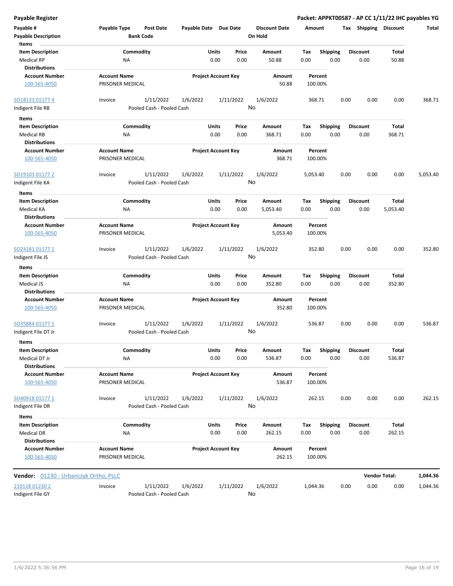| <b>Payable Register</b>                                              |                                                      |          |                                                  |                                 | Packet: APPKT00587 - AP CC 1/11/22 IHC payables YG |                         |                          |              |
|----------------------------------------------------------------------|------------------------------------------------------|----------|--------------------------------------------------|---------------------------------|----------------------------------------------------|-------------------------|--------------------------|--------------|
| Payable #<br><b>Payable Description</b>                              | Payable Type<br><b>Post Date</b><br><b>Bank Code</b> |          | Payable Date Due Date                            | <b>Discount Date</b><br>On Hold | Amount                                             | Tax Shipping Discount   |                          | <b>Total</b> |
| Items<br><b>Item Description</b><br><b>Medical RP</b>                | Commodity<br>NA                                      |          | Units<br>Price<br>0.00<br>0.00                   | Amount<br>50.88                 | Tax<br><b>Shipping</b><br>0.00<br>0.00             | <b>Discount</b><br>0.00 | <b>Total</b><br>50.88    |              |
| <b>Distributions</b><br><b>Account Number</b><br>100-565-4050        | <b>Account Name</b><br>PRISONER MEDICAL              |          | <b>Project Account Key</b>                       | Amount<br>50.88                 | Percent<br>100.00%                                 |                         |                          |              |
| SO18133 01177 4<br>Indigent File RB                                  | 1/11/2022<br>Invoice<br>Pooled Cash - Pooled Cash    | 1/6/2022 | 1/11/2022                                        | 1/6/2022<br>No                  | 368.71                                             | 0.00<br>0.00            | 0.00                     | 368.71       |
| Items                                                                |                                                      |          |                                                  |                                 |                                                    |                         |                          |              |
| <b>Item Description</b><br><b>Medical RB</b><br><b>Distributions</b> | Commodity<br>ΝA                                      |          | Units<br>Price<br>0.00<br>0.00                   | Amount<br>368.71                | <b>Shipping</b><br>Tax<br>0.00<br>0.00             | <b>Discount</b><br>0.00 | Total<br>368.71          |              |
| <b>Account Number</b><br>100-565-4050                                | <b>Account Name</b><br>PRISONER MEDICAL              |          | <b>Project Account Key</b>                       | Amount<br>368.71                | Percent<br>100.00%                                 |                         |                          |              |
| SO19103 01177 2<br>Indigent File KA                                  | 1/11/2022<br>Invoice<br>Pooled Cash - Pooled Cash    | 1/6/2022 | 1/11/2022                                        | 1/6/2022<br>No                  | 5,053.40                                           | 0.00<br>0.00            | 0.00                     | 5,053.40     |
| Items                                                                |                                                      |          |                                                  |                                 |                                                    |                         |                          |              |
| <b>Item Description</b><br>Medical KA                                | Commodity<br>ΝA                                      |          | Units<br>Price<br>0.00<br>0.00                   | Amount<br>5,053.40              | <b>Shipping</b><br>Tax<br>0.00<br>0.00             | <b>Discount</b><br>0.00 | <b>Total</b><br>5,053.40 |              |
| <b>Distributions</b><br><b>Account Number</b><br>100-565-4050        | <b>Account Name</b><br>PRISONER MEDICAL              |          | <b>Project Account Key</b><br>Amount<br>5,053.40 |                                 | Percent<br>100.00%                                 |                         |                          |              |
| SO24181 01177 1<br>Indigent File JS                                  | 1/11/2022<br>Invoice<br>Pooled Cash - Pooled Cash    | 1/6/2022 | 1/11/2022                                        | 1/6/2022<br>No                  | 352.80                                             | 0.00<br>0.00            | 0.00                     | 352.80       |
| Items                                                                |                                                      |          |                                                  |                                 |                                                    |                         |                          |              |
| <b>Item Description</b>                                              | Commodity                                            |          | Units<br>Price                                   | Amount                          | Shipping<br>Tax                                    | <b>Discount</b>         | Total                    |              |
| Medical JS<br><b>Distributions</b>                                   | <b>NA</b>                                            |          | 0.00<br>0.00                                     | 352.80                          | 0.00<br>0.00                                       | 0.00                    | 352.80                   |              |
| <b>Account Number</b><br>100-565-4050                                | <b>Account Name</b><br>PRISONER MEDICAL              |          | <b>Project Account Key</b>                       | Amount<br>352.80                | Percent<br>100.00%                                 |                         |                          |              |
| SO35884 01177 1<br>Indigent File DT Jr                               | 1/11/2022<br>Invoice<br>Pooled Cash - Pooled Cash    | 1/6/2022 | 1/11/2022                                        | 1/6/2022<br>No                  | 536.87                                             | 0.00<br>0.00            | 0.00                     | 536.87       |
| Items                                                                |                                                      |          |                                                  |                                 |                                                    |                         |                          |              |
| <b>Item Description</b><br>Medical DT Jr                             | Commodity<br>NA                                      |          | Units<br>Price<br>0.00<br>0.00                   | Amount<br>536.87                | <b>Shipping</b><br>Tax<br>0.00<br>0.00             | <b>Discount</b><br>0.00 | Total<br>536.87          |              |
| <b>Distributions</b><br><b>Account Number</b><br>100-565-4050        | <b>Account Name</b><br>PRISONER MEDICAL              |          | <b>Project Account Key</b>                       | Amount<br>536.87                | Percent<br>100.00%                                 |                         |                          |              |
| SO40918 01177 1<br>Indigent File DR                                  | 1/11/2022<br>Invoice<br>Pooled Cash - Pooled Cash    | 1/6/2022 | 1/11/2022                                        | 1/6/2022<br>No                  | 262.15                                             | 0.00<br>0.00            | 0.00                     | 262.15       |
| Items                                                                |                                                      |          |                                                  |                                 |                                                    |                         |                          |              |
| <b>Item Description</b><br>Medical DR<br><b>Distributions</b>        | Commodity<br>NA                                      |          | Units<br>Price<br>0.00<br>0.00                   | Amount<br>262.15                | <b>Shipping</b><br>Tax<br>0.00<br>0.00             | <b>Discount</b><br>0.00 | Total<br>262.15          |              |
| <b>Account Number</b><br>100-565-4050                                | <b>Account Name</b><br>PRISONER MEDICAL              |          | <b>Project Account Key</b>                       | Amount<br>262.15                | Percent<br>100.00%                                 |                         |                          |              |
| Vendor: 01230 - Urbanczyk Ortho, PLLC                                |                                                      |          |                                                  |                                 |                                                    |                         | <b>Vendor Total:</b>     | 1,044.36     |
| 210118 01230 2                                                       | 1/11/2022<br>Invoice                                 | 1/6/2022 | 1/11/2022                                        | 1/6/2022                        | 1,044.36                                           | 0.00<br>0.00            | 0.00                     | 1,044.36     |

Indigent File GY **Pooled Cash - Pooled Cash** 

No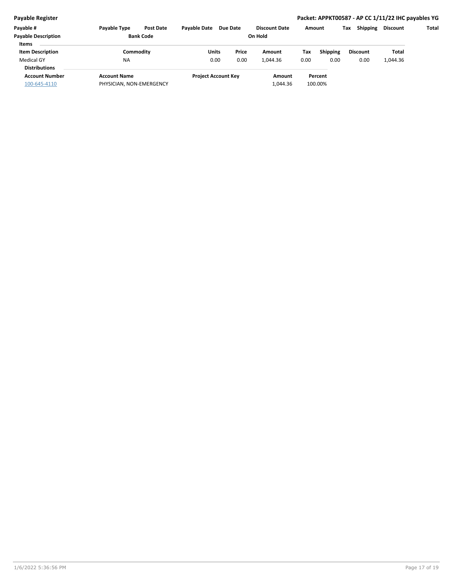| Payable #                  | <b>Payable Type</b>      | <b>Post Date</b> | <b>Pavable Date</b>        | <b>Due Date</b> |  | <b>Discount Date</b> | Amount |                 | Tax | <b>Shipping</b> | Discount | Total |
|----------------------------|--------------------------|------------------|----------------------------|-----------------|--|----------------------|--------|-----------------|-----|-----------------|----------|-------|
| <b>Payable Description</b> | <b>Bank Code</b>         |                  | On Hold                    |                 |  |                      |        |                 |     |                 |          |       |
| <b>Items</b>               |                          |                  |                            |                 |  |                      |        |                 |     |                 |          |       |
| <b>Item Description</b>    | Commoditv                |                  | Units                      | Price           |  | Amount               | Tax    | <b>Shipping</b> |     | <b>Discount</b> | Total    |       |
| <b>Medical GY</b>          | <b>NA</b>                |                  | 0.00                       | 0.00            |  | 1,044.36             | 0.00   | 0.00            |     | 0.00            | 1,044.36 |       |
| <b>Distributions</b>       |                          |                  |                            |                 |  |                      |        |                 |     |                 |          |       |
| <b>Account Number</b>      | <b>Account Name</b>      |                  | <b>Project Account Key</b> |                 |  | Amount               |        | Percent         |     |                 |          |       |
| 100-645-4110               | PHYSICIAN, NON-EMERGENCY |                  |                            |                 |  | 1,044.36             |        | 100.00%         |     |                 |          |       |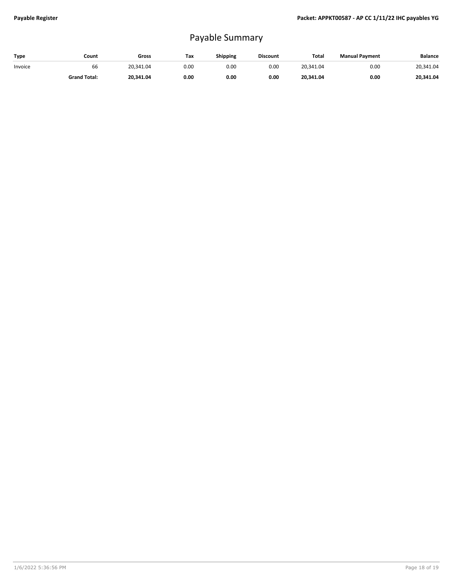## Payable Summary

| Type    | Count               | Gross     | Tax  | Shipping | <b>Discount</b> | Total     | <b>Manual Payment</b> | <b>Balance</b> |
|---------|---------------------|-----------|------|----------|-----------------|-----------|-----------------------|----------------|
| Invoice | bb                  | 20.341.04 | 0.00 | 0.00     | 0.00            | 20.341.04 | 0.00                  | 20.341.04      |
|         | <b>Grand Total:</b> | 20.341.04 | 0.00 | 0.00     | 0.00            | 20,341.04 | 0.00                  | 20.341.04      |